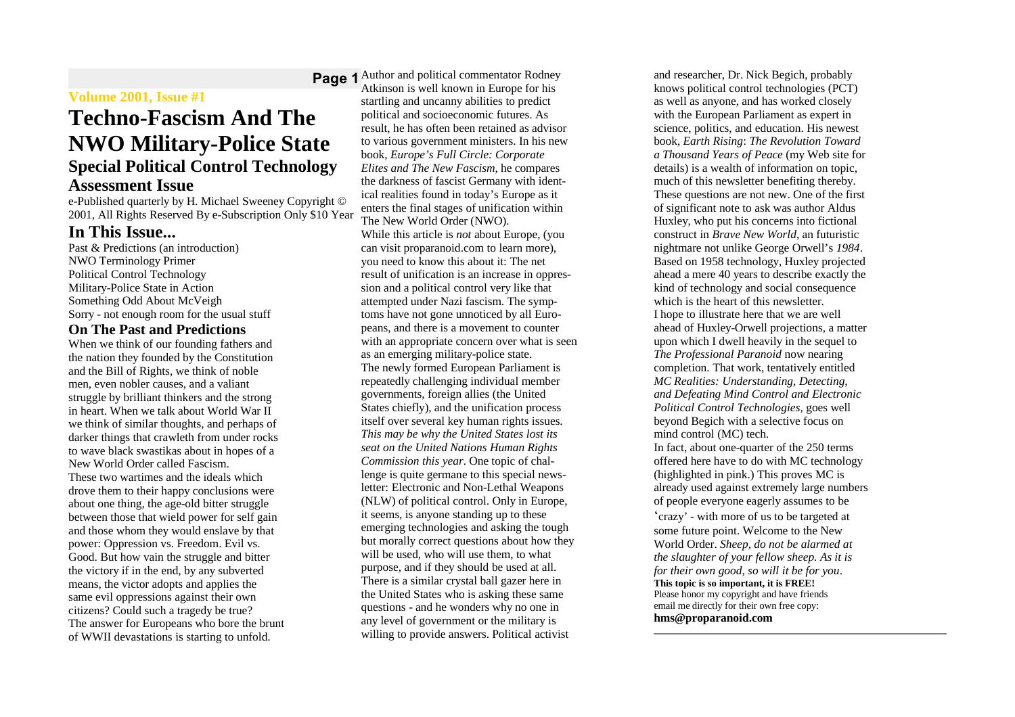## **Volume 2001, Issue #1**

# **Techno-Fascism And The NWO Military-Police State Special Political Control Technology Assessment Issue**

e-Published quarterly by H. Michael Sweeney Copyright © 2001, All Rights Reserved By e-Subscription Only \$10 Year

## **In This Issue...**

Past & Predictions (an introduction) NWO Terminology Primer Political Control Technology Military-Police State in Action Something Odd About McVeigh Sorry - not enough room for the usual stuff

## **On The Past and Predictions**

When we think of our founding fathers and the nation they founded by the Constitution and the Bill of Rights, we think of noble men, even nobler causes, and a valiant struggle by brilliant thinkers and the strong in heart. When we talk about World War II we think of similar thoughts, and perhaps of darker things that crawleth from under rocks to wave black swastikas about in hopes of a New World Order called Fascism. These two wartimes and the ideals which drove them to their happy conclusions were about one thing, the age-old bitter struggle between those that wield power for self gain and those whom they would enslave by that power: Oppression vs. Freedom. Evil vs. Good. But how vain the struggle and bitter the victory if in the end, by any subverted means, the victor adopts and applies the same evil oppressions against their own citizens? Could such a tragedy be true? The answer for Europeans who bore the brunt of WWII devastations is starting to unfold.

**Page 1** Author and political commentator Rodney Atkinson is well known in Europe for his startling and uncanny abilities to predict political and socioeconomic futures. As result, he has often been retained as advisor to various government ministers. In his new book, *Europe's Full Circle: Corporate Elites and The New Fascism*, he compares the darkness of fascist Germany with identical realities found in today's Europe as it enters the final stages of unification within The New World Order (NWO). While this article is *not* about Europe, (you can visit proparanoid.com to learn more), you need to know this about it: The net result of unification is an increase in oppression and a political control very like that attempted under Nazi fascism. The symptoms have not gone unnoticed by all Europeans, and there is a movement to counter with an appropriate concern over what is seen as an emerging military-police state. The newly formed European Parliament is repeatedly challenging individual member governments, foreign allies (the United States chiefly), and the unification process itself over several key human rights issues. *This may be why the United States lost its seat on the United Nations Human Rights Commission this year*. One topic of challenge is quite germane to this special newsletter: Electronic and Non-Lethal Weapons (NLW) of political control. Only in Europe, it seems, is anyone standing up to these emerging technologies and asking the tough but morally correct questions about how they will be used, who will use them, to what purpose, and if they should be used at all. There is a similar crystal ball gazer here in the United States who is asking these same questions - and he wonders why no one in any level of government or the military is willing to provide answers. Political activist

and researcher, Dr. Nick Begich, probably knows political control technologies (PCT) as well as anyone, and has worked closely with the European Parliament as expert in science, politics, and education. His newest book, *Earth Rising*: *The Revolution Toward a Thousand Years of Peace* (my Web site for details) is a wealth of information on topic, much of this newsletter benefiting thereby. These questions are not new. One of the first of significant note to ask was author Aldus Huxley, who put his concerns into fictional construct in *Brave New World*, an futuristic nightmare not unlike George Orwell's *1984*. Based on 1958 technology, Huxley projected ahead a mere 40 years to describe exactly the kind of technology and social consequence which is the heart of this newsletter. I hope to illustrate here that we are well ahead of Huxley-Orwell projections, a matter upon which I dwell heavily in the sequel to *The Professional Paranoid* now nearing completion. That work, tentatively entitled *MC Realities: Understanding, Detecting, and Defeating Mind Control and Electronic Political Control Technologies*, goes well beyond Begich with a selective focus on mind control (MC) tech. In fact, about one-quarter of the 250 terms offered here have to do with MC technology (highlighted in pink.) This proves MC is already used against extremely large numbers of people everyone eagerly assumes to be 'crazy' - with more of us to be targeted at some future point. Welcome to the New World Order. *Sheep, do not be alarmed at the slaughter of your fellow sheep. As it is for their own good, so will it be for you*. **This topic is so important, it is FREE!** Please honor my copyright and have friends email me directly for their own free copy: **hms@proparanoid.com**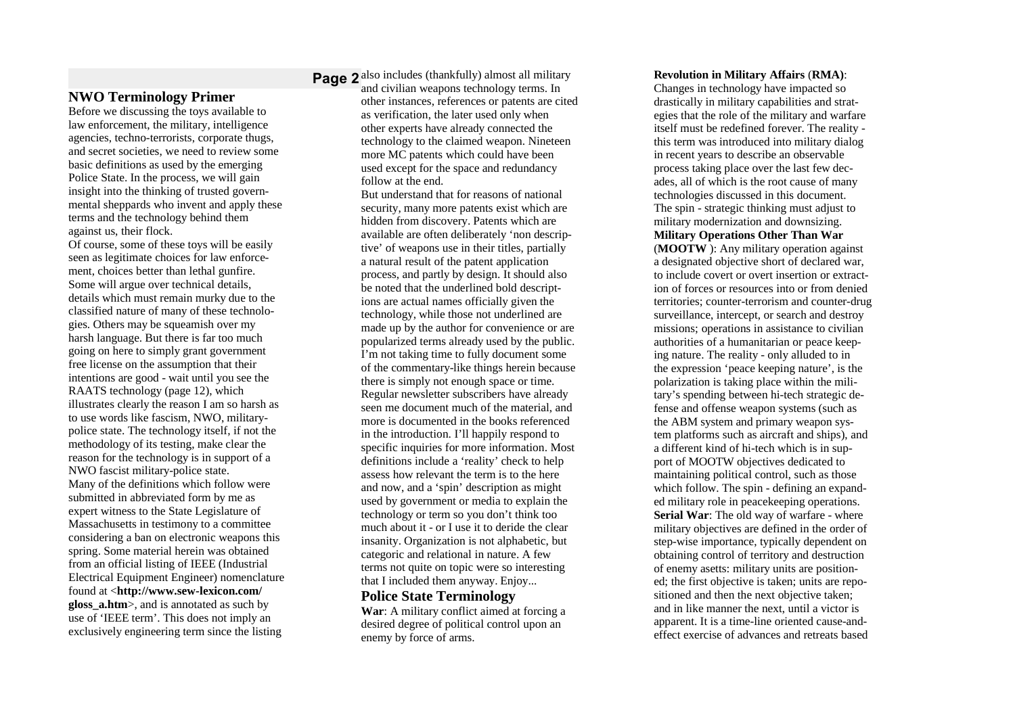## **NWO Terminology Primer**

Before we discussing the toys available to law enforcement, the military, intelligence agencies, techno-terrorists, corporate thugs, and secret societies, we need to review some basic definitions as used by the emerging Police State. In the process, we will gain insight into the thinking of trusted governmental sheppards who invent and apply these terms and the technology behind them against us, their flock.

Of course, some of these toys will be easily seen as legitimate choices for law enforcement, choices better than lethal gunfire. Some will argue over technical details, details which must remain murky due to the classified nature of many of these technologies. Others may be squeamish over my harsh language. But there is far too much going on here to simply grant government free license on the assumption that their intentions are good - wait until you see the RAATS technology (page 12), which illustrates clearly the reason I am so harsh as to use words like fascism, NWO, militarypolice state. The technology itself, if not the methodology of its testing, make clear the reason for the technology is in support of a NWO fascist military-police state. Many of the definitions which follow were submitted in abbreviated form by me as expert witness to the State Legislature of Massachusetts in testimony to a committee considering a ban on electronic weapons this spring. Some material herein was obtained from an official listing of IEEE (Industrial Electrical Equipment Engineer) nomenclature found at <**http://www.sew-lexicon.com/ gloss\_a.htm**>, and is annotated as such by use of 'IEEE term'. This does not imply an exclusively engineering term since the listing

**Page 2** also includes (thankfully) almost all military and civilian weapons technology terms. In other instances, references or patents are cited as verification, the later used only when other experts have already connected the technology to the claimed weapon. Nineteen more MC patents which could have been used except for the space and redundancy follow at the end.

> But understand that for reasons of national security, many more patents exist which are hidden from discovery. Patents which are available are often deliberately 'non descriptive' of weapons use in their titles, partially a natural result of the patent application process, and partly by design. It should also be noted that the underlined bold descriptions are actual names officially given the technology, while those not underlined are made up by the author for convenience or are popularized terms already used by the public. I'm not taking time to fully document some of the commentary-like things herein because there is simply not enough space or time. Regular newsletter subscribers have already seen me document much of the material, and more is documented in the books referenced in the introduction. I'll happily respond to specific inquiries for more information. Most definitions include a 'reality' check to help assess how relevant the term is to the here and now, and a 'spin' description as might used by government or media to explain the technology or term so you don't think too much about it - or I use it to deride the clear insanity. Organization is not alphabetic, but categoric and relational in nature. A few terms not quite on topic were so interesting that I included them anyway. Enjoy...

**Police State Terminology**

**War**: A military conflict aimed at forcing a desired degree of political control upon an enemy by force of arms.

### **Revolution in Military Affairs** (**RMA)**:

Changes in technology have impacted so drastically in military capabilities and strategies that the role of the military and warfare itself must be redefined forever. The reality this term was introduced into military dialog in recent years to describe an observable process taking place over the last few decades, all of which is the root cause of many technologies discussed in this document. The spin - strategic thinking must adjust to military modernization and downsizing. **Military Operations Other Than War** (**MOOTW** ): Any military operation against a designated objective short of declared war, to include covert or overt insertion or extraction of forces or resources into or from denied territories; counter-terrorism and counter-drug surveillance, intercept, or search and destroy missions; operations in assistance to civilian authorities of a humanitarian or peace keeping nature. The reality - only alluded to in the expression 'peace keeping nature', is the polarization is taking place within the military's spending between hi-tech strategic defense and offense weapon systems (such as the ABM system and primary weapon system platforms such as aircraft and ships), and a different kind of hi-tech which is in support of MOOTW objectives dedicated to maintaining political control, such as those which follow. The spin - defining an expanded military role in peacekeeping operations. **Serial War**: The old way of warfare - where military objectives are defined in the order of step-wise importance, typically dependent on obtaining control of territory and destruction of enemy asetts: military units are positioned; the first objective is taken; units are repositioned and then the next objective taken; and in like manner the next, until a victor is apparent. It is a time-line oriented cause-andeffect exercise of advances and retreats based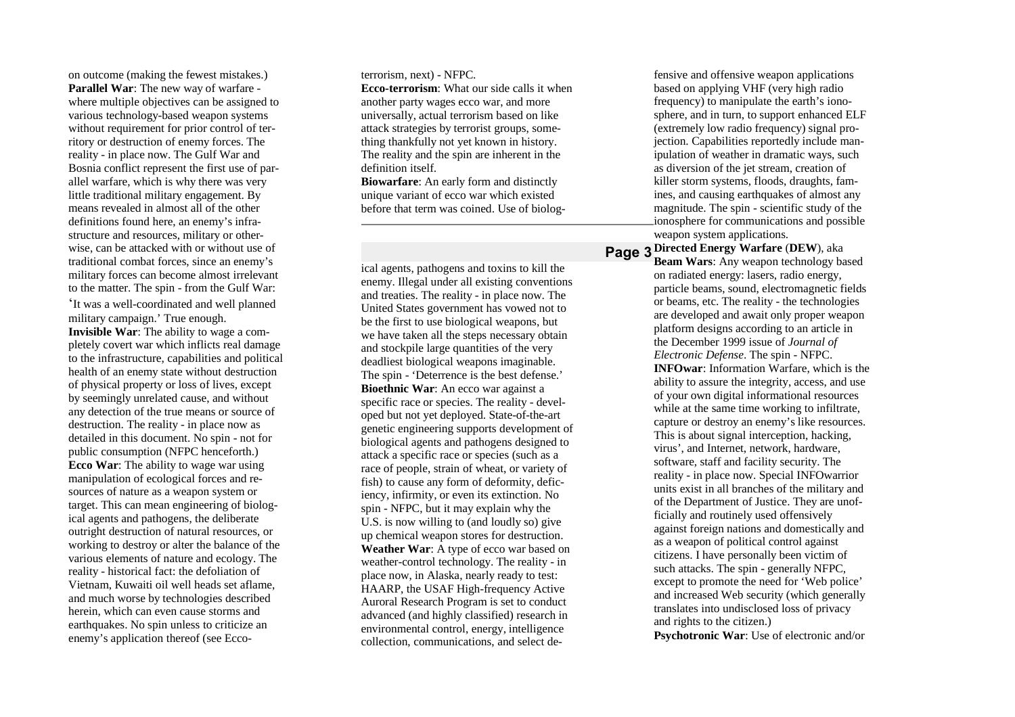on outcome (making the fewest mistakes.) **Parallel War**: The new way of warfare where multiple objectives can be assigned to various technology-based weapon systems without requirement for prior control of territory or destruction of enemy forces. The reality - in place now. The Gulf War and Bosnia conflict represent the first use of parallel warfare, which is why there was very little traditional military engagement. By means revealed in almost all of the other definitions found here, an enemy's infrastructure and resources, military or otherwise, can be attacked with or without use of traditional combat forces, since an enemy's military forces can become almost irrelevant to the matter. The spin - from the Gulf War: 'It was a well-coordinated and well planned military campaign.' True enough. **Invisible War**: The ability to wage a completely covert war which inflicts real damage to the infrastructure, capabilities and political health of an enemy state without destruction of physical property or loss of lives, except by seemingly unrelated cause, and without any detection of the true means or source of destruction. The reality - in place now as detailed in this document. No spin - not for public consumption (NFPC henceforth.) **Ecco War**: The ability to wage war using manipulation of ecological forces and resources of nature as a weapon system or target. This can mean engineering of biological agents and pathogens, the deliberate outright destruction of natural resources, or working to destroy or alter the balance of the various elements of nature and ecology. The

reality - historical fact: the defoliation of Vietnam, Kuwaiti oil well heads set aflame, and much worse by technologies described herein, which can even cause storms and earthquakes. No spin unless to criticize an enemy's application thereof (see Eccoterrorism, next) - NFPC.

**Ecco-terrorism**: What our side calls it when another party wages ecco war, and more universally, actual terrorism based on like attack strategies by terrorist groups, something thankfully not yet known in history. The reality and the spin are inherent in the definition itself.

**Biowarfare**: An early form and distinctly unique variant of ecco war which existed before that term was coined. Use of biolog-

ical agents, pathogens and toxins to kill the enemy. Illegal under all existing conventions and treaties. The reality - in place now. The United States government has vowed not to be the first to use biological weapons, but we have taken all the steps necessary obtain and stockpile large quantities of the very deadliest biological weapons imaginable. The spin - 'Deterrence is the best defense.' **Bioethnic War**: An ecco war against a specific race or species. The reality - developed but not yet deployed. State-of-the-art genetic engineering supports development of biological agents and pathogens designed to attack a specific race or species (such as a race of people, strain of wheat, or variety of fish) to cause any form of deformity, deficiency, infirmity, or even its extinction. No spin - NFPC, but it may explain why the U.S. is now willing to (and loudly so) give up chemical weapon stores for destruction. **Weather War**: A type of ecco war based on weather-control technology. The reality - in place now, in Alaska, nearly ready to test: HAARP, the USAF High-frequency Active Auroral Research Program is set to conduct advanced (and highly classified) research in environmental control, energy, intelligence collection, communications, and select de-

fensive and offensive weapon applications based on applying VHF (very high radio frequency) to manipulate the earth's ionosphere, and in turn, to support enhanced ELF (extremely low radio frequency) signal projection. Capabilities reportedly include manipulation of weather in dramatic ways, such as diversion of the jet stream, creation of killer storm systems, floods, draughts, famines, and causing earthquakes of almost any magnitude. The spin - scientific study of the ionosphere for communications and possible weapon system applications.

**Page 3 Directed Energy Warfare** (**DEW**), aka **Beam Wars**: Any weapon technology based on radiated energy: lasers, radio energy, particle beams, sound, electromagnetic fields or beams, etc. The reality - the technologies are developed and await only proper weapon platform designs according to an article in the December 1999 issue of *Journal of Electronic Defense*. The spin - NFPC. **INFOwar**: Information Warfare, which is the ability to assure the integrity, access, and use of your own digital informational resources while at the same time working to infiltrate. capture or destroy an enemy's like resources. This is about signal interception, hacking, virus', and Internet, network, hardware, software, staff and facility security. The reality - in place now. Special INFOwarrior units exist in all branches of the military and of the Department of Justice. They are unofficially and routinely used offensively against foreign nations and domestically and as a weapon of political control against citizens. I have personally been victim of such attacks. The spin - generally NFPC, except to promote the need for 'Web police' and increased Web security (which generally translates into undisclosed loss of privacy and rights to the citizen.) **Psychotronic War**: Use of electronic and/or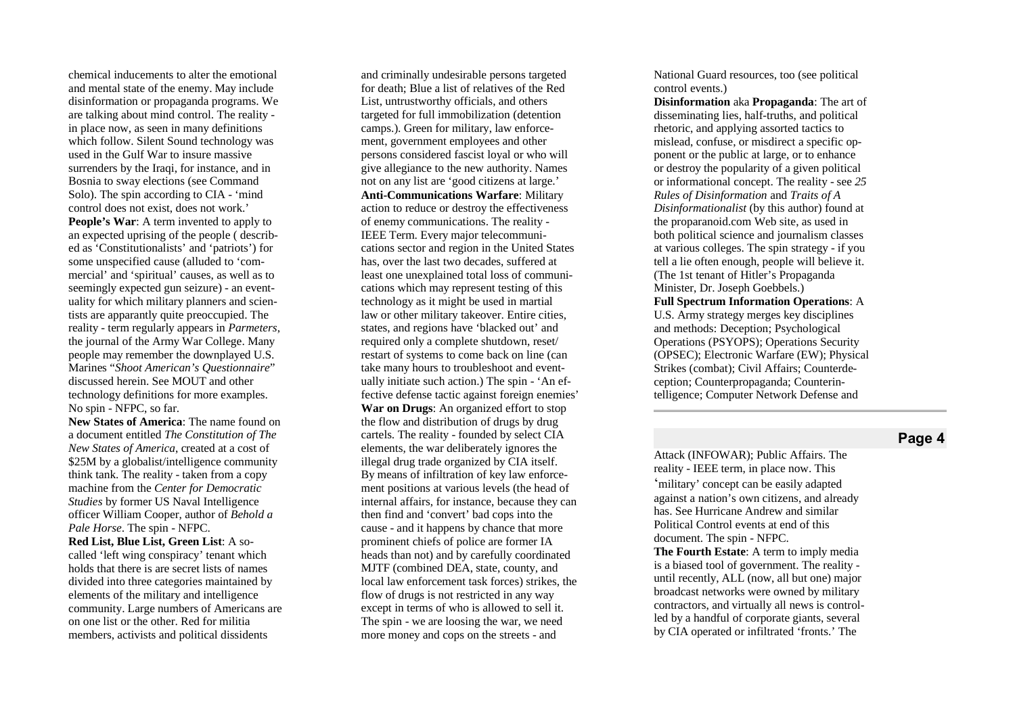chemical inducements to alter the emotional and mental state of the enemy. May include disinformation or propaganda programs. We are talking about mind control. The reality in place now, as seen in many definitions which follow. Silent Sound technology was used in the Gulf War to insure massive surrenders by the Iraqi, for instance, and in Bosnia to sway elections (see Command Solo). The spin according to CIA - 'mind control does not exist, does not work.' People's War: A term invented to apply to an expected uprising of the people (described as 'Constitutionalists' and 'patriots') for some unspecified cause (alluded to 'commercial' and 'spiritual' causes, as well as to seemingly expected gun seizure) - an eventuality for which military planners and scientists are apparantly quite preoccupied. The reality - term regularly appears in *Parmeters*, the journal of the Army War College. Many people may remember the downplayed U.S. Marines "Shoot American's Questionnaire" discussed herein. See MOUT and other technology definitions for more examples. No spin - NFPC, so far.

New States of America: The name found on a document entitled The Constitution of The New States of America, created at a cost of \$25M by a globalist/intelligence community think tank. The reality - taken from a copy machine from the Center for Democratic Studies by former US Naval Intelligence officer William Cooper, author of Behold a Pale Horse. The spin - NFPC. Red List, Blue List, Green List: A socalled 'left wing conspiracy' tenant which holds that there is are secret lists of names divided into three categories maintained by elements of the military and intelligence community. Large numbers of Americans are

on one list or the other. Red for militia members, activists and political dissidents and criminally undesirable persons targeted for death; Blue a list of relatives of the Red List, untrustworthy officials, and others targeted for full immobilization (detention camps.). Green for military, law enforcement, government employees and other persons considered fascist loyal or who will give allegiance to the new authority. Names not on any list are 'good citizens at large.' **Anti-Communications Warfare: Military** action to reduce or destroy the effectiveness of enemy communications. The reality -IEEE Term. Every major telecommunications sector and region in the United States has, over the last two decades, suffered at least one unexplained total loss of communications which may represent testing of this technology as it might be used in martial law or other military takeover. Entire cities, states, and regions have 'blacked out' and required only a complete shutdown, reset/ restart of systems to come back on line (can take many hours to troubleshoot and eventually initiate such action.) The spin - 'An effective defense tactic against foreign enemie s ' War on Drugs: An organized effort to stop the flow and distribution of drugs by drug cartels. The reality - founded by select CIA elements, the war deliberately ignores the illegal drug trade organized by CIA itself. By means of infiltration of key law enforcement positions at various levels (the head of internal affairs, for instance, because they can then find and 'convert' bad cops into the cause - and it happens by chance that more prominent chiefs of police are former IA heads than not) and by carefully coordinated MJTF (combined DEA, state, county, and local law enforcement task forces) strikes, the flow of drugs is not restricted in any way except in terms of who is allowed to sell it. The spin - we are loosing the war, we need more money and cops on the streets - and

National Guard resources, too (see political control events.)

Disinformation aka Propaganda: The art of disseminating lies, half-truths, and political rhetoric, and applying assorted tactics to mislead, confuse, or misdirect a specific opponent or the public at large, or to enhance or destroy the popularity of a given political or informational concept. The reality - see 25 *Rules of Disinformation and Traits of A* Disinformationalist (by this author) found at the proparanoid.com Web site, as used in both political science and journalism classes at various colleges. The spin strategy - if you tell a lie often enough, people will believe it. (The 1st tenant of Hitler's Propaganda Minister, Dr. Joseph Goebbels.) **Full Spectrum Information Operations: A** U.S. Army strategy merges key disciplines and methods: Deception; Psychological Operations (PSYOPS); Operations Security (OPSEC); Electronic Warfare (EW); Physical Strikes (combat); Civil Affairs; Counterdeception; Counterpropaganda; Counterin-

telligence; Computer Network Defense and

## Page 4

Attack (INFOWAR); Public Affairs. The reality - IEEE term, in place now. This 'military' concept can be easily adapted against a nation's own citizens, and already has. See Hurricane Andrew and similar Political Control events at end of this document. The spin - NFPC. **The Fourth Estate:** A term to imply media is a biased tool of government. The reality until recently, ALL (now, all but one) major broadcast networks were owned by military contractors, and virtually all news is controlled by a handful of corporate giants, several by CIA operated or infiltrated 'fronts.' The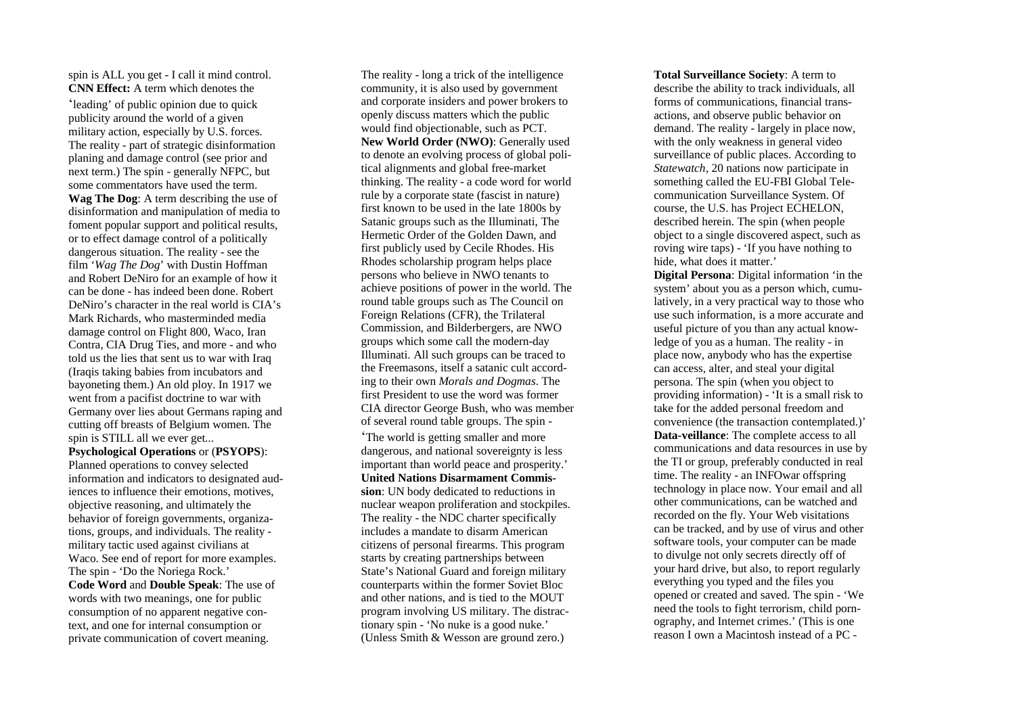spin is ALL you get - I call it mind control. **CNN Effect:** A term which denotes the 'leading' of public opinion due to quick publicity around the world of a given military action, especially by U.S. forces. The reality - part of strategic disinformation planing and damage control (see prior and next term.) The spin - generally NFPC, but some commentators have used the term. **Wag The Dog**: A term describing the use of disinformation and manipulation of media to foment popular support and political results, or to effect damage control of a politically dangerous situation. The reality - see the film '*Wag The Dog*' with Dustin Hoffman and Robert DeNiro for an example of how it can be done - has indeed been done. Robert DeNiro's character in the real world is CIA's Mark Richards, who masterminded media damage control on Flight 800, Waco, Iran Contra, CIA Drug Ties, and more - and who told us the lies that sent us to war with Iraq (Iraqis taking babies from incubators and bayoneting them.) An old ploy. In 1917 we went from a pacifist doctrine to war with Germany over lies about Germans raping and cutting off breasts of Belgium women. The spin is STILL all we ever get... **Psychological Operations** or (**PSYOPS**):

Planned operations to convey selected information and indicators to designated audiences to influence their emotions, motives, objective reasoning, and ultimately the behavior of foreign governments, organizations, groups, and individuals. The reality military tactic used against civilians at Waco. See end of report for more examples. The spin - 'Do the Noriega Rock.' **Code Word** and **Double Speak**: The use of words with two meanings, one for public consumption of no apparent negative context, and one for internal consumption or private communication of covert meaning.

The reality - long a trick of the intelligence community, it is also used by government and corporate insiders and power brokers to openly discuss matters which the public would find objectionable, such as PCT. **New World Order (NWO)**: Generally used to denote an evolving process of global political alignments and global free-market thinking. The reality - a code word for world rule by a corporate state (fascist in nature) first known to be used in the late 1800s by Satanic groups such as the Illuminati, The Hermetic Order of the Golden Dawn, and first publicly used by Cecile Rhodes. His Rhodes scholarship program helps place persons who believe in NWO tenants to achieve positions of power in the world. The round table groups such as The Council on Foreign Relations (CFR), the Trilateral Commission, and Bilderbergers, are NWO groups which some call the modern-day Illuminati. All such groups can be traced to the Freemasons, itself a satanic cult according to their own *Morals and Dogmas*. The first President to use the word was former CIA director George Bush, who was member of several round table groups. The spin - 'The world is getting smaller and more dangerous, and national sovereignty is less

important than world peace and prosperity.' **United Nations Disarmament Commission**: UN body dedicated to reductions in nuclear weapon proliferation and stockpiles. The reality - the NDC charter specifically includes a mandate to disarm American citizens of personal firearms. This program starts by creating partnerships between State's National Guard and foreign military counterparts within the former Soviet Bloc and other nations, and is tied to the MOUT program involving US military. The distractionary spin - 'No nuke is a good nuke.' (Unless Smith & Wesson are ground zero.)

**Total Surveillance Society**: A term to describe the ability to track individuals, all forms of communications, financial transactions, and observe public behavior on demand. The reality - largely in place now, with the only weakness in general video surveillance of public places. According to *Statewatch*, 20 nations now participate in something called the EU-FBI Global Telecommunication Surveillance System. Of course, the U.S. has Project ECHELON, described herein. The spin (when people object to a single discovered aspect, such as roving wire taps) - 'If you have nothing to hide, what does it matter.'

**Digital Persona**: Digital information 'in the system' about you as a person which, cumulatively, in a very practical way to those who use such information, is a more accurate and useful picture of you than any actual knowledge of you as a human. The reality - in place now, anybody who has the expertise can access, alter, and steal your digital persona. The spin (when you object to providing information) - 'It is a small risk to take for the added personal freedom and convenience (the transaction contemplated.)' **Data-veillance**: The complete access to all communications and data resources in use by the TI or group, preferably conducted in real time. The reality - an INFOwar offspring technology in place now. Your email and all other communications, can be watched and recorded on the fly. Your Web visitations can be tracked, and by use of virus and other software tools, your computer can be made to divulge not only secrets directly off of your hard drive, but also, to report regularly everything you typed and the files you opened or created and saved. The spin - 'We need the tools to fight terrorism, child pornography, and Internet crimes.' (This is one reason I own a Macintosh instead of a PC -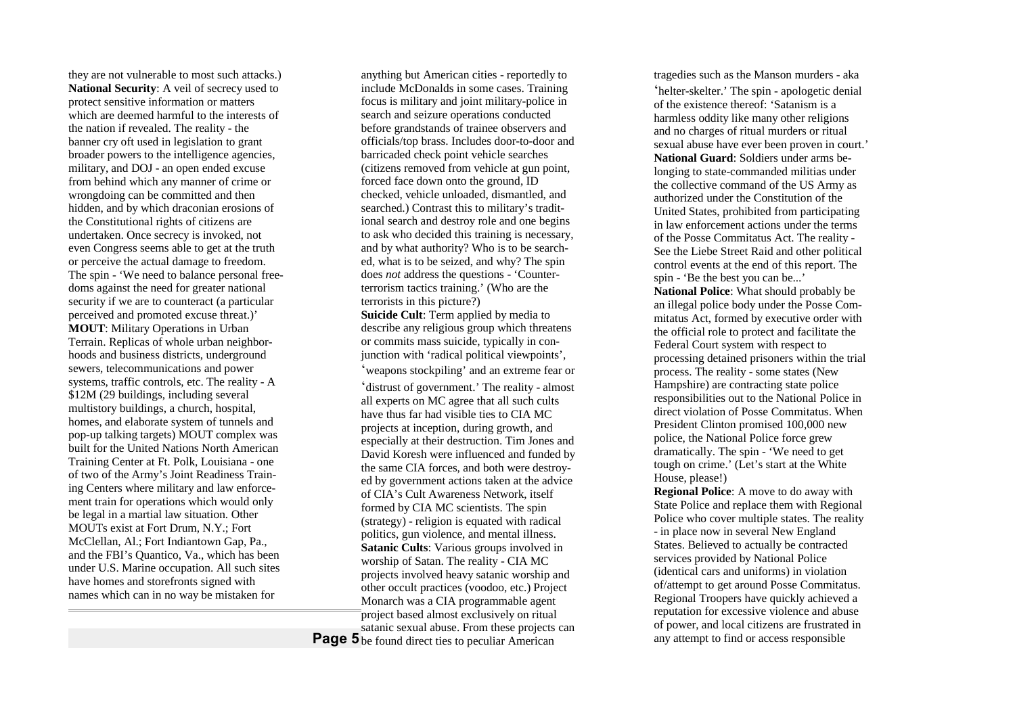they are not vulnerable to most such attacks.) **National Security**: A veil of secrecy used to protect sensitive information or matters which are deemed harmful to the interests of the nation if revealed. The reality - the banner cry oft used in legislation to grant broader powers to the intelligence agencies, military, and DOJ - an open ended excuse from behind which any manner of crime or wrongdoing can be committed and then hidden, and by which draconian erosions of the Constitutional rights of citizens are undertaken. Once secrecy is invoked, not even Congress seems able to get at the truth or perceive the actual damage to freedom. The spin - 'We need to balance personal freedoms against the need for greater national security if we are to counteract (a particular perceived and promoted excuse threat.)' **MOUT**: Military Operations in Urban Terrain. Replicas of whole urban neighborhoods and business districts, underground sewers, telecommunications and power systems, traffic controls, etc. The reality - A \$12M (29 buildings, including several multistory buildings, a church, hospital, homes, and elaborate system of tunnels and pop-up talking targets) MOUT complex was built for the United Nations North American Training Center at Ft. Polk, Louisiana - one of two of the Army's Joint Readiness Training Centers where military and law enforcement train for operations which would only be legal in a martial law situation. Other MOUTs exist at Fort Drum, N.Y.; Fort McClellan, Al.; Fort Indiantown Gap, Pa., and the FBI's Quantico, Va., which has been under U.S. Marine occupation. All such sites have homes and storefronts signed with names which can in no way be mistaken for

Page 5<sub>be found direct ties to peculiar American</sub> anything but American cities - reportedly to include McDonalds in some cases. Training focus is military and joint military-police in search and seizure operations conducted before grandstands of trainee observers and officials/top brass. Includes door-to-door and barricaded check point vehicle searches (citizens removed from vehicle at gun point, forced face down onto the ground, ID checked, vehicle unloaded, dismantled, and searched.) Contrast this to military's traditional search and destroy role and one begins to ask who decided this training is necessary, and by what authority? Who is to be searched, what is to be seized, and why? The spin does *not* address the questions - 'Counterterrorism tactics training.' (Who are the terrorists in this picture?) **Suicide Cult**: Term applied by media to describe any religious group which threatens or commits mass suicide, typically in conjunction with 'radical political viewpoints', 'weapons stockpiling' and an extreme fear or 'distrust of government.' The reality - almost all experts on MC agree that all such cults have thus far had visible ties to CIA MC projects at inception, during growth, and especially at their destruction. Tim Jones and David Koresh were influenced and funded by the same CIA forces, and both were destroyed by government actions taken at the advice of CIA's Cult Awareness Network, itself formed by CIA MC scientists. The spin (strategy) - religion is equated with radical politics, gun violence, and mental illness. **Satanic Cults**: Various groups involved in worship of Satan. The reality - CIA MC projects involved heavy satanic worship and other occult practices (voodoo, etc.) Project Monarch was a CIA programmable agent project based almost exclusively on ritual satanic sexual abuse. From these projects can

tragedies such as the Manson murders - aka 'helter-skelter.' The spin - apologetic denial of the existence thereof: 'Satanism is a harmless oddity like many other religions and no charges of ritual murders or ritual sexual abuse have ever been proven in court.' **National Guard**: Soldiers under arms belonging to state-commanded militias under the collective command of the US Army as authorized under the Constitution of the United States, prohibited from participating in law enforcement actions under the terms of the Posse Commitatus Act. The reality - See the Liebe Street Raid and other political control events at the end of this report. The spin - 'Be the best you can be...' **National Police**: What should probably be an illegal police body under the Posse Commitatus Act, formed by executive order with the official role to protect and facilitate the Federal Court system with respect to processing detained prisoners within the trial process. The reality - some states (New Hampshire) are contracting state police responsibilities out to the National Police in direct violation of Posse Commitatus. When President Clinton promised 100,000 new police, the National Police force grew dramatically. The spin - 'We need to get tough on crime.' (Let's start at the White House, please!)

**Regional Police**: A move to do away with State Police and replace them with Regional Police who cover multiple states. The reality - in place now in several New England States. Believed to actually be contracted services provided by National Police (identical cars and uniforms) in violation of/attempt to get around Posse Commitatus. Regional Troopers have quickly achieved a reputation for excessive violence and abuse of power, and local citizens are frustrated in any attempt to find or access responsible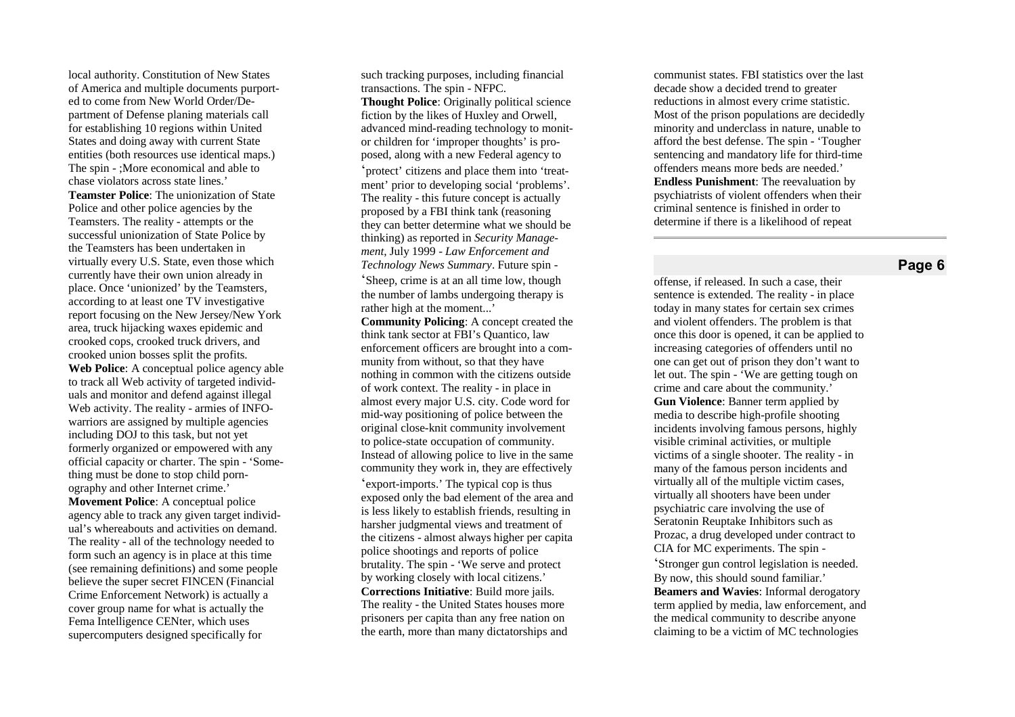local authority. Constitution of New States of America and multiple documents purported to come from New World Order/Department of Defense planing materials call for establishing 10 regions within United States and doing away with current State entities (both resources use identical maps.) The spin - ; More economical and able to chase violators across state lines.' **Teamster Police:** The unionization of State Police and other police agencies by the Teamsters. The reality - attempts or the successful unionization of State Police by the Teamsters has been undertaken in virtually every U.S. State, even those which currently have their own union already in place. Once 'unionized' by the Teamsters, according to at least one TV investigative report focusing on the New Jersey/New York area, truck hijacking waxes epidemic and crooked cops, crooked truck drivers, and crooked union bosses split the profits. Web Police: A conceptual police agency able to track all Web activity of targeted individuals and monitor and defend against illegal Web activity. The reality - armies of INFOwarriors are assigned by multiple agencies including DOJ to this task, but not yet formerly organized or empowered with any official capacity or charter. The spin - 'Something must be done to stop child pornography and other Internet crime.' **Movement Police:** A conceptual police agency able to track any given target individual's whereabouts and activities on demand. The reality - all of the technology needed to form such an agency is in place at this time (see remaining definitions) and some people believe the super secret FINCEN (Financial Crime Enforcement Network) is actually a cover group name for what is actually the Fema Intelligence CENter, which uses supercomputers designed specifically for

such tracking purposes, including financial transactions. The spin - NFPC. **Thought Police:** Originally political science fiction by the likes of Huxley and Orwell, advanced mind-reading technology to monitor children for 'improper thoughts' is proposed, along with a new Federal agency to 'protect' citizens and place them into 'treatment' prior to developing social 'problems'. The reality - this future concept is actually proposed by a FBI think tank (reasoning they can better determine what we should be thinking) as reported in Security Manage*ment*, July 1999 - Law Enforcement and Technology News Summary. Future spin -'Sheep, crime is at an all time low, though the number of lambs undergoing therapy is rather high at the moment...'

**Community Policing:** A concept created the think tank sector at FBI's Quantico, law enforcement officers are brought into a community from without, so that they have nothing in common with the citizens outside of work context. The reality - in place in almost every major U.S. city. Code word for mid-way positioning of police between the original close-knit community involvement to police-state occupation of community. Instead of allowing police to live in the same community they work in, they are effectively 'export-imports.' The typical cop is thus exposed only the bad element of the area and is less likely to establish friends, resulting in harsher judgmental views and treatment of the citizens - almost always higher per capita police shootings and reports of police brutality. The spin - 'We serve and protect by working closely with local citizens.' **Corrections Initiative:** Build more jails. The reality - the United States houses more prisoners per capita than any free nation on the earth, more than many dictatorships and

communist states. FBI statistics over the last decade show a decided trend to greater reductions in almost every crime statistic. Most of the prison populations are decidedly minority and underclass in nature, unable to afford the best defense. The spin - 'Tougher sentencing and mandatory life for third-time offenders means more beds are needed.' **Endless Punishment:** The reevaluation by psychiatrists of violent offenders when their criminal sentence is finished in order to determine if there is a likelihood of repeat

## **P a g e 6**

offense, if released. In such a case, their sentence is extended. The reality - in place today in many states for certain sex crimes and violent offenders. The problem is that once this door is opened, it can be applied to increasing categories of offenders until no one can get out of prison they don't want to let out. The spin - 'We are getting tough on crime and care about the community.' **Gun Violence:** Banner term applied by media to describe high-profile shooting incidents involving famous persons, highly visible criminal activities, or multiple victims of a single shooter. The reality - in many of the famous person incidents and virtually all of the multiple victim cases, virtually all shooters have been under psychiatric care involving the use of Seratonin Reuptake Inhibitors such as Prozac, a drug developed under contract to CIA for MC experiments. The spin -

'Stronger gun control legislation is needed. By now, this should sound familiar.' Beamers and Wavies: Informal derogatory term applied by media, law enforcement, and the medical community to describe anyone claiming to be a victim of MC technologies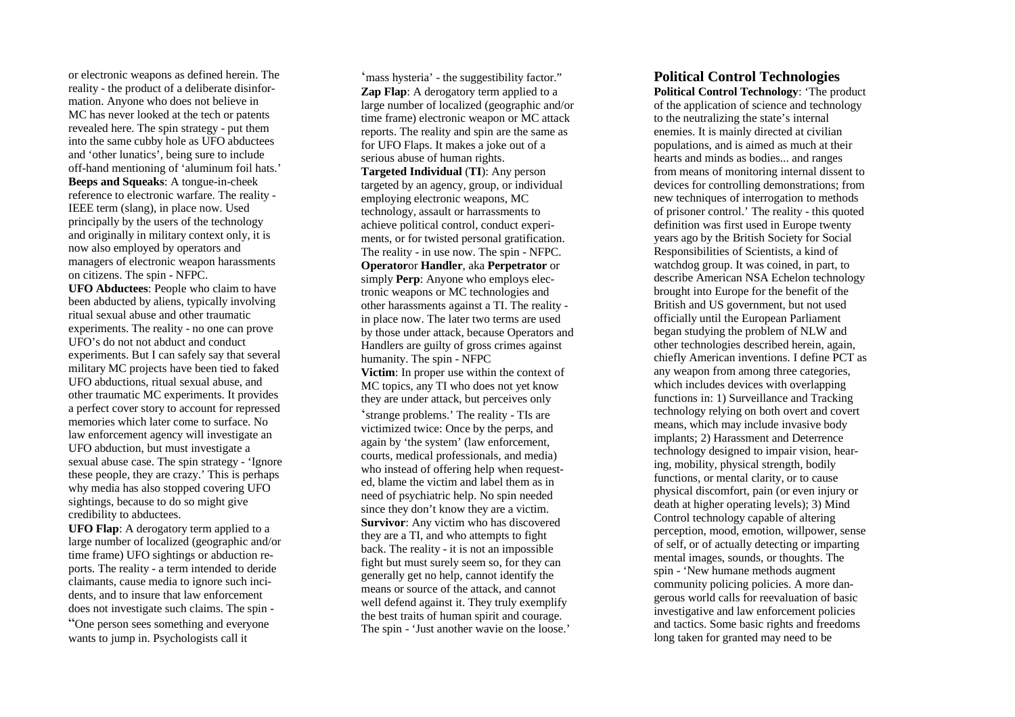or electronic weapons as defined herein. The reality - the product of a deliberate disinformation. Anyone who does not believe in MC has never looked at the tech or patents revealed here. The spin strategy - put them into the same cubby hole as UFO abductees and 'other lunatics', being sure to include off-hand mentioning of 'aluminum foil hats.' **Beeps and Squeaks**: A tongue-in-cheek reference to electronic warfare. The reality - IEEE term (slang), in place now. Used principally by the users of the technology and originally in military context only, it is now also employed by operators and managers of electronic weapon harassments on citizens. The spin - NFPC.

**UFO Abductees**: People who claim to have been abducted by aliens, typically involving ritual sexual abuse and other traumatic experiments. The reality - no one can prove UFO's do not not abduct and conduct experiments. But I can safely say that several military MC projects have been tied to faked UFO abductions, ritual sexual abuse, and other traumatic MC experiments. It provides a perfect cover story to account for repressed memories which later come to surface. No law enforcement agency will investigate an UFO abduction, but must investigate a sexual abuse case. The spin strategy - 'Ignore these people, they are crazy.' This is perhaps why media has also stopped covering UFO sightings, because to do so might give credibility to abductees.

**UFO Flap**: A derogatory term applied to a large number of localized (geographic and/or time frame) UFO sightings or abduction reports. The reality - a term intended to deride claimants, cause media to ignore such incidents, and to insure that law enforcement does not investigate such claims. The spin - "One person sees something and everyone

wants to jump in. Psychologists call it

'mass hysteria' - the suggestibility factor." **Zap Flap**: A derogatory term applied to a large number of localized (geographic and/or time frame) electronic weapon or MC attack reports. The reality and spin are the same as for UFO Flaps. It makes a joke out of a serious abuse of human rights. **Targeted Individual** (**TI**): Any person targeted by an agency, group, or individual employing electronic weapons, MC technology, assault or harrassments to achieve political control, conduct experiments, or for twisted personal gratification. The reality - in use now. The spin - NFPC. **Operator**or **Handler**, aka **Perpetrator** or simply **Perp**: Anyone who employs electronic weapons or MC technologies and other harassments against a TI. The reality in place now. The later two terms are used by those under attack, because Operators and Handlers are guilty of gross crimes against humanity. The spin - NFPC **Victim**: In proper use within the context of MC topics, any TI who does not yet know they are under attack, but perceives only 'strange problems.' The reality - TIs are victimized twice: Once by the perps, and again by 'the system' (law enforcement, courts, medical professionals, and media) who instead of offering help when requested, blame the victim and label them as in need of psychiatric help. No spin needed since they don't know they are a victim. **Survivor**: Any victim who has discovered they are a TI, and who attempts to fight back. The reality - it is not an impossible fight but must surely seem so, for they can generally get no help, cannot identify the means or source of the attack, and cannot well defend against it. They truly exemplify the best traits of human spirit and courage. The spin - 'Just another wavie on the loose.'

# **Political Control Technologies**

**Political Control Technology**: 'The product of the application of science and technology to the neutralizing the state's internal enemies. It is mainly directed at civilian populations, and is aimed as much at their hearts and minds as bodies... and ranges from means of monitoring internal dissent to devices for controlling demonstrations; from new techniques of interrogation to methods of prisoner control.' The reality - this quoted definition was first used in Europe twenty years ago by the British Society for Social Responsibilities of Scientists, a kind of watchdog group. It was coined, in part, to describe American NSA Echelon technology brought into Europe for the benefit of the British and US government, but not used officially until the European Parliament began studying the problem of NLW and other technologies described herein, again, chiefly American inventions. I define PCT as any weapon from among three categories, which includes devices with overlapping functions in: 1) Surveillance and Tracking technology relying on both overt and covert means, which may include invasive body implants; 2) Harassment and Deterrence technology designed to impair vision, hearing, mobility, physical strength, bodily functions, or mental clarity, or to cause physical discomfort, pain (or even injury or death at higher operating levels); 3) Mind Control technology capable of altering perception, mood, emotion, willpower, sense of self, or of actually detecting or imparting mental images, sounds, or thoughts. The spin - 'New humane methods augment community policing policies. A more dangerous world calls for reevaluation of basic investigative and law enforcement policies and tactics. Some basic rights and freedoms long taken for granted may need to be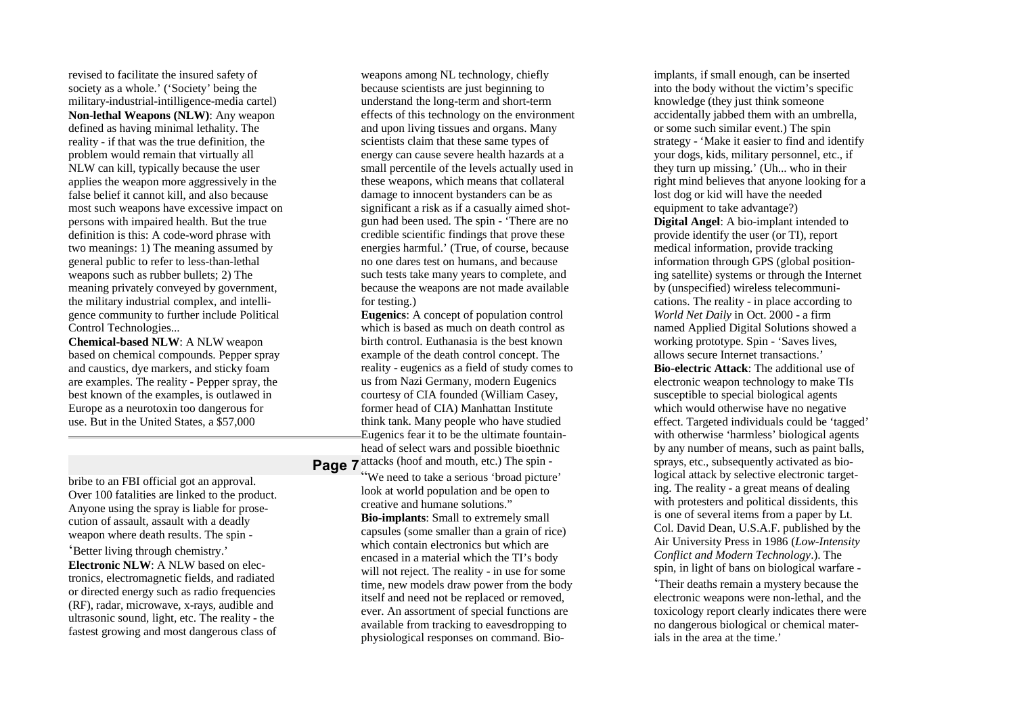revised to facilitate the insured safety of society as a whole.' ('Society' being the military-industrial-intilligence-media cartel) **Non-lethal Weapons (NLW)**: Any weapon defined as having minimal lethality. The reality - if that was the true definition, the problem would remain that virtually all NLW can kill, typically because the user applies the weapon more aggressively in the false belief it cannot kill, and also because most such weapons have excessive impact on persons with impaired health. But the true definition is this: A code-word phrase with two meanings: 1) The meaning assumed by general public to refer to less-than-lethal weapons such as rubber bullets; 2) The meaning privately conveyed by government, the military industrial complex, and intelligence community to further include Political Control Technologies...

**Chemical-based NLW**: A NLW weapon based on chemical compounds. Pepper spray and caustics, dye markers, and sticky foam are examples. The reality - Pepper spray, the best known of the examples, is outlawed in Europe as a neurotoxin too dangerous for use. But in the United States, a \$57,000

bribe to an FBI official got an approval. Over 100 fatalities are linked to the product. Anyone using the spray is liable for prosecution of assault, assault with a deadly weapon where death results. The spin - 'Better living through chemistry.' **Electronic NLW**: A NLW based on electronics, electromagnetic fields, and radiated or directed energy such as radio frequencies (RF), radar, microwave, x-rays, audible and ultrasonic sound, light, etc. The reality - the fastest growing and most dangerous class of

weapons among NL technology, chiefly because scientists are just beginning to understand the long-term and short-term effects of this technology on the environment and upon living tissues and organs. Many scientists claim that these same types of energy can cause severe health hazards at a small percentile of the levels actually used in these weapons, which means that collateral damage to innocent bystanders can be as significant a risk as if a casually aimed shotgun had been used. The spin - 'There are no credible scientific findings that prove these energies harmful.' (True, of course, because no one dares test on humans, and because such tests take many years to complete, and because the weapons are not made available for testing.)

**Page 7** attacks (hoof and mouth, etc.) The spin -**Eugenics**: A concept of population control which is based as much on death control as birth control. Euthanasia is the best known example of the death control concept. The reality - eugenics as a field of study comes to us from Nazi Germany, modern Eugenics courtesy of CIA founded (William Casey, former head of CIA) Manhattan Institute think tank. Many people who have studied Eugenics fear it to be the ultimate fountainhead of select wars and possible bioethnic

"We need to take a serious 'broad picture' look at world population and be open to creative and humane solutions." **Bio-implants**: Small to extremely small capsules (some smaller than a grain of rice) which contain electronics but which are encased in a material which the TI's body will not reject. The reality - in use for some time, new models draw power from the body itself and need not be replaced or removed, ever. An assortment of special functions are available from tracking to eavesdropping to physiological responses on command. Bio-

implants, if small enough, can be inserted into the body without the victim's specific knowledge (they just think someone accidentally jabbed them with an umbrella, or some such similar event.) The spin strategy - 'Make it easier to find and identify your dogs, kids, military personnel, etc., if they turn up missing.' (Uh... who in their right mind believes that anyone looking for a lost dog or kid will have the needed equipment to take advantage?) **Digital Angel**: A bio-implant intended to provide identify the user (or TI), report medical information, provide tracking information through GPS (global positioning satellite) systems or through the Internet by (unspecified) wireless telecommunications. The reality - in place according to *World Net Daily* in Oct. 2000 - a firm named Applied Digital Solutions showed a working prototype. Spin - 'Saves lives, allows secure Internet transactions.' **Bio-electric Attack**: The additional use of electronic weapon technology to make TIs susceptible to special biological agents which would otherwise have no negative effect. Targeted individuals could be 'tagged' with otherwise 'harmless' biological agents by any number of means, such as paint balls, sprays, etc., subsequently activated as biological attack by selective electronic targeting. The reality - a great means of dealing with protesters and political dissidents, this is one of several items from a paper by Lt. Col. David Dean, U.S.A.F. published by the Air University Press in 1986 (*Low-Intensity Conflict and Modern Technology*.). The spin, in light of bans on biological warfare -

'Their deaths remain a mystery because the electronic weapons were non-lethal, and the toxicology report clearly indicates there were no dangerous biological or chemical materials in the area at the time.'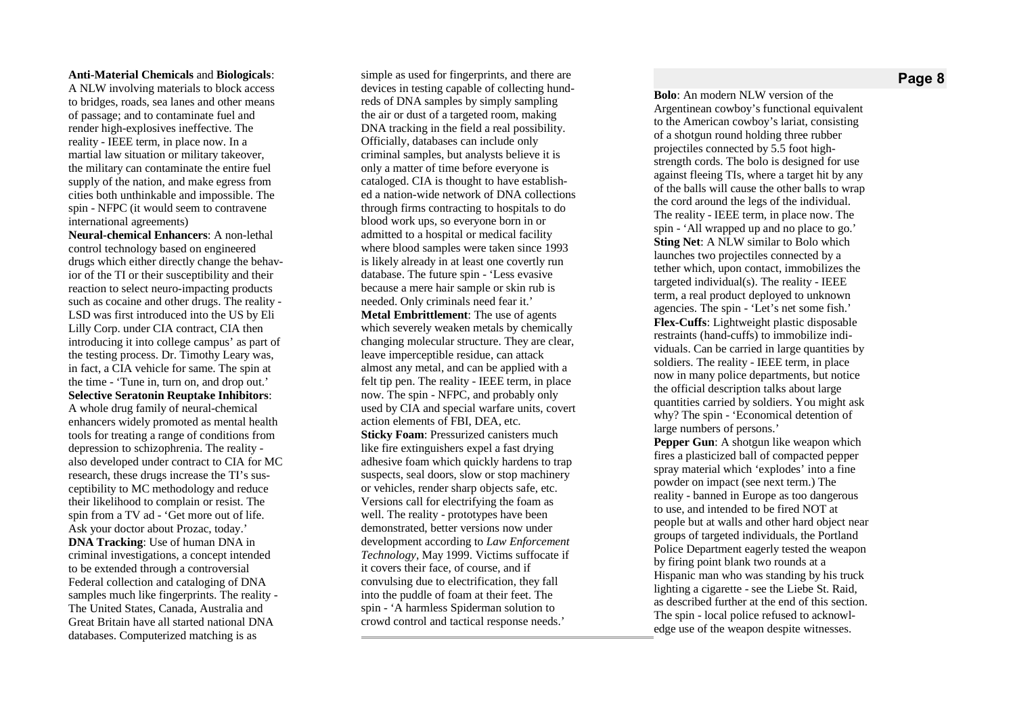#### **Anti-Material Chemicals and Biologicals:**

A NLW involving materials to block access to bridges, roads, sea lanes and other means of passage; and to contaminate fuel and render high-explosives ineffective. The reality - IEEE term, in place now. In a martial law situation or military takeover, the military can contaminate the entire fuel supply of the nation, and make egress from cities both unthinkable and impossible. The spin - NFPC (it would seem to contravene international agreements)

**Neural-chemical Enhancers: A non-lethal** control technology based on engineered drugs which either directly change the behavior of the TI or their susceptibility and their reaction to select neuro-impacting products such as cocaine and other drugs. The reality -LSD was first introduced into the US by Eli Lilly Corp. under CIA contract, CIA then introducing it into college campus' as part of the testing process. Dr. Timothy Leary was, in fact, a CIA vehicle for same. The spin at the time - 'Tune in, turn on, and drop out.' **Selective Seratonin Reuptake Inhibitors:** A whole drug family of neural-chemical enhancers widely promoted as mental health tools for treating a range of conditions from depression to schizophrenia. The reality also developed under contract to CIA for MC research, these drugs increase the TI's susceptibility to MC methodology and reduce their likelihood to complain or resist. The spin from a TV ad - 'Get more out of life. Ask your doctor about Prozac, today.' **DNA** Tracking: Use of human DNA in criminal investigations, a concept intended to be extended through a controversial Federal collection and cataloging of DNA samples much like fingerprints. The reality -The United States, Canada, Australia and Great Britain have all started national DNA databases. Computerized matching is as

simple as used for fingerprints, and there are devices in testing capable of collecting hundreds of DNA samples by simply sampling the air or dust of a targeted room, making DNA tracking in the field a real possibility. Officially, databases can include only criminal samples, but analysts believe it is only a matter of time before everyone is cataloged. CIA is thought to have established a nation-wide network of DNA collections through firms contracting to hospitals to do blood work ups, so everyone born in or admitted to a hospital or medical facility where blood samples were taken since 1993 is likely already in at least one covertly run database. The future spin - 'Less evasive because a mere hair sample or skin rub is needed. Only criminals need fear it.' **Metal Embrittlement:** The use of agents which severely weaken metals by chemically changing molecular structure. They are clear, leave imperceptible residue, can attack almost any metal, and can be applied with a felt tip pen. The reality - IEEE term, in place now. The spin - NFPC, and probably only used by CIA and special warfare units, covert action elements of FBI, DEA, etc. Sticky Foam: Pressurized canisters much like fire extinguishers expel a fast drying adhesive foam which quickly hardens to trap suspects, seal doors, slow or stop machinery or vehicles, render sharp objects safe, etc. Versions call for electrifying the foam as well. The reality - prototypes have been demonstrated, better versions now under development according to Law Enforcement Technology, May 1999. Victims suffocate if it covers their face, of course, and if convulsing due to electrification, they fall into the puddle of foam at their feet. The spin - 'A harmless Spiderman solution to crowd control and tactical response needs.'

## **P a g e 8**

Bolo: An modern NLW version of the Argentinean cowboy's functional equivalent to the American cowboy's lariat, consisting of a shotgun round holding three rubber projectiles connected by 5.5 foot highstrength cords. The bolo is designed for use against fleeing TIs, where a target hit by any of the balls will cause the other balls to wrap the cord around the legs of the individual. The reality - IEEE term, in place now. The spin - 'All wrapped up and no place to go.' **Sting Net: A NLW similar to Bolo which** launches two projectiles connected by a tether which, upon contact, immobilizes the targeted individual(s). The reality - IEEE term, a real product deployed to unknown agencies. The spin - 'Let's net some fish.' Flex-Cuffs: Lightweight plastic disposable restraints (hand-cuffs) to immobilize individuals. Can be carried in large quantities by soldiers. The reality - IEEE term, in place now in many police departments, but notice the official description talks about large quantities carried by soldiers. You might ask why? The spin - 'Economical detention of large numbers of persons.' **Pepper Gun:** A shotgun like weapon which fires a plasticized ball of compacted pepper spray material which 'explodes' into a fine powder on impact (see next term.) The reality - banned in Europe as too dangerous to use, and intended to be fired NOT at

people but at walls and other hard object near groups of targeted individuals, the Portland Police Department eagerly tested the weapon by firing point blank two rounds at a Hispanic man who was standing by his truck lighting a cigarette - see the Liebe St. Raid, as described further at the end of this section. The spin - local police refused to acknowledge use of the weapon despite witnesses.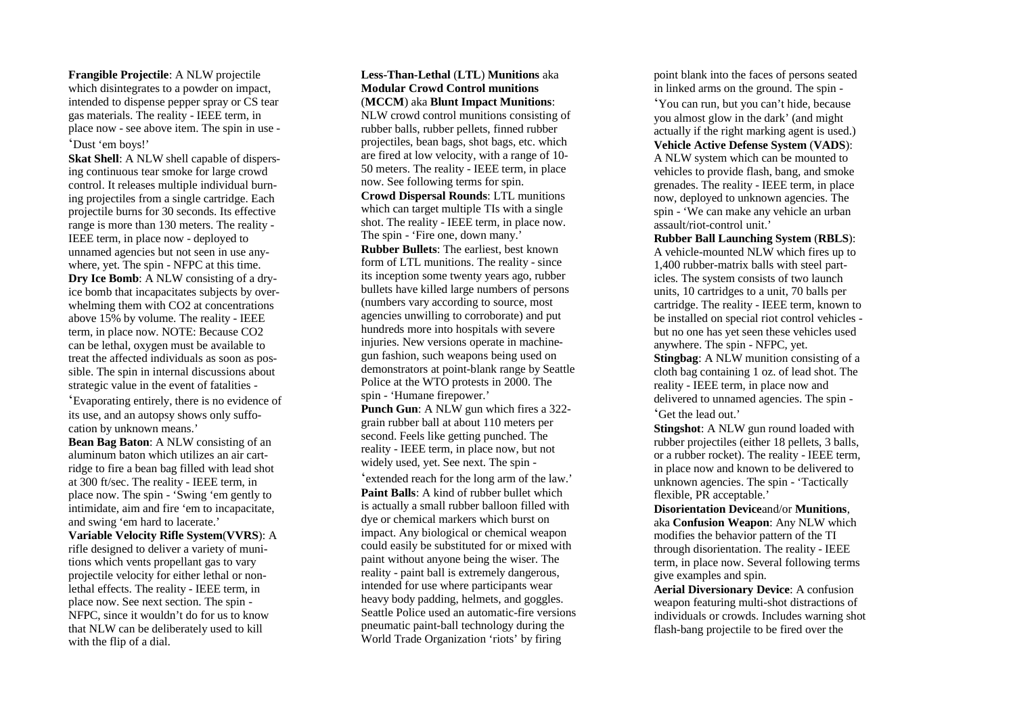**Frangible Projectile**: A NLW projectile which disintegrates to a powder on impact, intended to dispense pepper spray or CS tear gas materials. The reality - IEEE term, in place now - see above item. The spin in use - 'Dust 'em boys!'

**Skat Shell**: A NLW shell capable of dispersing continuous tear smoke for large crowd control. It releases multiple individual burning projectiles from a single cartridge. Each projectile burns for 30 seconds. Its effective range is more than 130 meters. The reality - IEEE term, in place now - deployed to unnamed agencies but not seen in use anywhere, yet. The spin - NFPC at this time. **Dry Ice Bomb**: A NLW consisting of a dryice bomb that incapacitates subjects by overwhelming them with CO2 at concentrations above 15% by volume. The reality - IEEE term, in place now. NOTE: Because CO2 can be lethal, oxygen must be available to treat the affected individuals as soon as possible. The spin in internal discussions about strategic value in the event of fatalities -

'Evaporating entirely, there is no evidence of its use, and an autopsy shows only suffocation by unknown means.'

**Bean Bag Baton**: A NLW consisting of an aluminum baton which utilizes an air cartridge to fire a bean bag filled with lead shot at 300 ft/sec. The reality - IEEE term, in place now. The spin - 'Swing 'em gently to intimidate, aim and fire 'em to incapacitate, and swing 'em hard to lacerate.'

**Variable Velocity Rifle System**(**VVRS**): A rifle designed to deliver a variety of munitions which vents propellant gas to vary projectile velocity for either lethal or nonlethal effects. The reality - IEEE term, in place now. See next section. The spin - NFPC, since it wouldn't do for us to know that NLW can be deliberately used to kill with the flip of a dial.

## **Less-Than-Lethal** (**LTL**) **Munitions** aka **Modular Crowd Control munitions** (**MCCM**) aka **Blunt Impact Munitions**:

NLW crowd control munitions consisting of rubber balls, rubber pellets, finned rubber projectiles, bean bags, shot bags, etc. which are fired at low velocity, with a range of 10- 50 meters. The reality - IEEE term, in place now. See following terms for spin. **Crowd Dispersal Rounds**: LTL munitions which can target multiple TIs with a single shot. The reality - IEEE term, in place now. The spin - 'Fire one, down many.' **Rubber Bullets**: The earliest, best known form of LTL munitions. The reality - since its inception some twenty years ago, rubber bullets have killed large numbers of persons (numbers vary according to source, most agencies unwilling to corroborate) and put hundreds more into hospitals with severe injuries. New versions operate in machinegun fashion, such weapons being used on demonstrators at point-blank range by Seattle Police at the WTO protests in 2000. The spin - 'Humane firepower.' **Punch Gun**: A NLW gun which fires a 322-

grain rubber ball at about 110 meters per second. Feels like getting punched. The reality - IEEE term, in place now, but not widely used, yet. See next. The spin - 'extended reach for the long arm of the law.' **Paint Balls**: A kind of rubber bullet which is actually a small rubber balloon filled with dye or chemical markers which burst on impact. Any biological or chemical weapon could easily be substituted for or mixed with paint without anyone being the wiser. The reality - paint ball is extremely dangerous, intended for use where participants wear heavy body padding, helmets, and goggles. Seattle Police used an automatic-fire versions pneumatic paint-ball technology during the World Trade Organization 'riots' by firing

point blank into the faces of persons seated in linked arms on the ground. The spin -

'You can run, but you can't hide, because you almost glow in the dark' (and might actually if the right marking agent is used.) **Vehicle Active Defense System** (**VADS**): A NLW system which can be mounted to vehicles to provide flash, bang, and smoke grenades. The reality - IEEE term, in place now, deployed to unknown agencies. The spin - 'We can make any vehicle an urban assault/riot-control unit.'

**Rubber Ball Launching System** (**RBLS**): A vehicle-mounted NLW which fires up to 1,400 rubber-matrix balls with steel particles. The system consists of two launch units, 10 cartridges to a unit, 70 balls per cartridge. The reality - IEEE term, known to be installed on special riot control vehicles but no one has yet seen these vehicles used anywhere. The spin - NFPC, yet. **Stingbag**: A NLW munition consisting of a

cloth bag containing 1 oz. of lead shot. The reality - IEEE term, in place now and delivered to unnamed agencies. The spin - 'Get the lead out.'

**Stingshot**: A NLW gun round loaded with rubber projectiles (either 18 pellets, 3 balls, or a rubber rocket). The reality - IEEE term, in place now and known to be delivered to unknown agencies. The spin - 'Tactically flexible, PR acceptable.'

**Disorientation Device**and/or **Munitions**, aka **Confusion Weapon**: Any NLW which modifies the behavior pattern of the TI through disorientation. The reality - IEEE term, in place now. Several following terms give examples and spin.

**Aerial Diversionary Device**: A confusion weapon featuring multi-shot distractions of individuals or crowds. Includes warning shot flash-bang projectile to be fired over the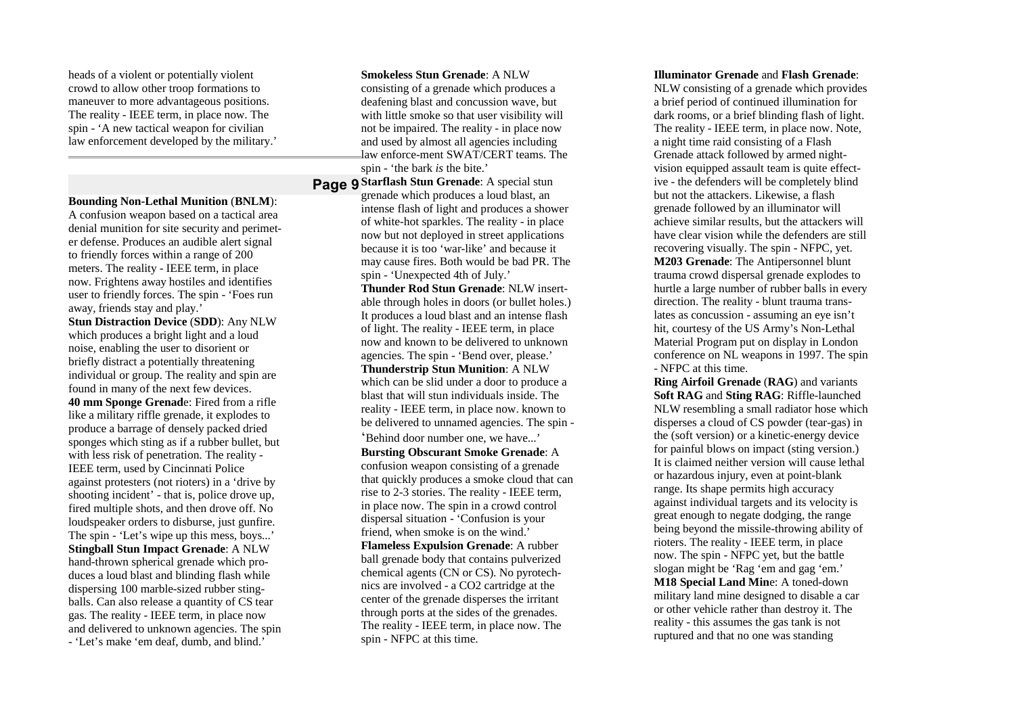heads of a violent or potentially violent crowd to allow other troop formations to maneuver to more advantageous positions. The reality - IEEE term, in place now. The spin - 'A new tactical weapon for civilian law enforcement developed by the military.'

**Bounding Non-Lethal Munition** (**BNLM**): A confusion weapon based on a tactical area denial munition for site security and perimeter defense. Produces an audible alert signal to friendly forces within a range of 200 meters. The reality - IEEE term, in place now. Frightens away hostiles and identifies user to friendly forces. The spin - 'Foes run away, friends stay and play.'

**Stun Distraction Device** (**SDD**): Any NLW which produces a bright light and a loud noise, enabling the user to disorient or briefly distract a potentially threatening individual or group. The reality and spin are found in many of the next few devices. **40 mm Sponge Grenad**e: Fired from a rifle like a military riffle grenade, it explodes to produce a barrage of densely packed dried sponges which sting as if a rubber bullet, but with less risk of penetration. The reality - IEEE term, used by Cincinnati Police against protesters (not rioters) in a 'drive by shooting incident' - that is, police drove up, fired multiple shots, and then drove off. No loudspeaker orders to disburse, just gunfire. The spin - 'Let's wipe up this mess, boys...' **Stingball Stun Impact Grenade**: A NLW hand-thrown spherical grenade which produces a loud blast and blinding flash while dispersing 100 marble-sized rubber stingballs. Can also release a quantity of CS tear

gas. The reality - IEEE term, in place now and delivered to unknown agencies. The spin - 'Let's make 'em deaf, dumb, and blind.'

#### **Smokeless Stun Grenade**: A NLW

consisting of a grenade which produces a deafening blast and concussion wave, but with little smoke so that user visibility will not be impaired. The reality - in place now and used by almost all agencies including law enforce-ment SWAT/CERT teams. The spin - 'the bark *is* the bite.'

**Page 9 Starflash Stun Grenade**: A special stun grenade which produces a loud blast, an intense flash of light and produces a shower of white-hot sparkles. The reality - in place now but not deployed in street applications because it is too 'war-like' and because it may cause fires. Both would be bad PR. The spin - 'Unexpected 4th of July.'

> **Thunder Rod Stun Grenade**: NLW insertable through holes in doors (or bullet holes.) It produces a loud blast and an intense flash of light. The reality - IEEE term, in place now and known to be delivered to unknown agencies. The spin - 'Bend over, please.' **Thunderstrip Stun Munition**: A NLW which can be slid under a door to produce a blast that will stun individuals inside. The reality - IEEE term, in place now. known to be delivered to unnamed agencies. The spin - 'Behind door number one, we have...'

**Bursting Obscurant Smoke Grenade**: A confusion weapon consisting of a grenade that quickly produces a smoke cloud that can rise to 2-3 stories. The reality - IEEE term, in place now. The spin in a crowd control dispersal situation - 'Confusion is your friend, when smoke is on the wind.' **Flameless Expulsion Grenade**: A rubber ball grenade body that contains pulverized chemical agents (CN or CS). No pyrotechnics are involved - a CO2 cartridge at the center of the grenade disperses the irritant through ports at the sides of the grenades. The reality - IEEE term, in place now. The spin - NFPC at this time.

### **Illuminator Grenade** and **Flash Grenade**:

NLW consisting of a grenade which provides a brief period of continued illumination for dark rooms, or a brief blinding flash of light. The reality - IEEE term, in place now. Note, a night time raid consisting of a Flash Grenade attack followed by armed nightvision equipped assault team is quite effective - the defenders will be completely blind but not the attackers. Likewise, a flash grenade followed by an illuminator will achieve similar results, but the attackers will have clear vision while the defenders are still recovering visually. The spin - NFPC, yet. **M203 Grenade**: The Antipersonnel blunt trauma crowd dispersal grenade explodes to hurtle a large number of rubber balls in every direction. The reality - blunt trauma translates as concussion - assuming an eye isn't hit, courtesy of the US Army's Non-Lethal Material Program put on display in London conference on NL weapons in 1997. The spin - NFPC at this time.

**Ring Airfoil Grenade** (**RAG**) and variants **Soft RAG** and **Sting RAG**: Riffle-launched NLW resembling a small radiator hose which disperses a cloud of CS powder (tear-gas) in the (soft version) or a kinetic-energy device for painful blows on impact (sting version.) It is claimed neither version will cause lethal or hazardous injury, even at point-blank range. Its shape permits high accuracy against individual targets and its velocity is great enough to negate dodging, the range being beyond the missile-throwing ability of rioters. The reality - IEEE term, in place now. The spin - NFPC yet, but the battle slogan might be 'Rag 'em and gag 'em.' **M18 Special Land Min**e: A toned-down military land mine designed to disable a car or other vehicle rather than destroy it. The reality - this assumes the gas tank is not ruptured and that no one was standing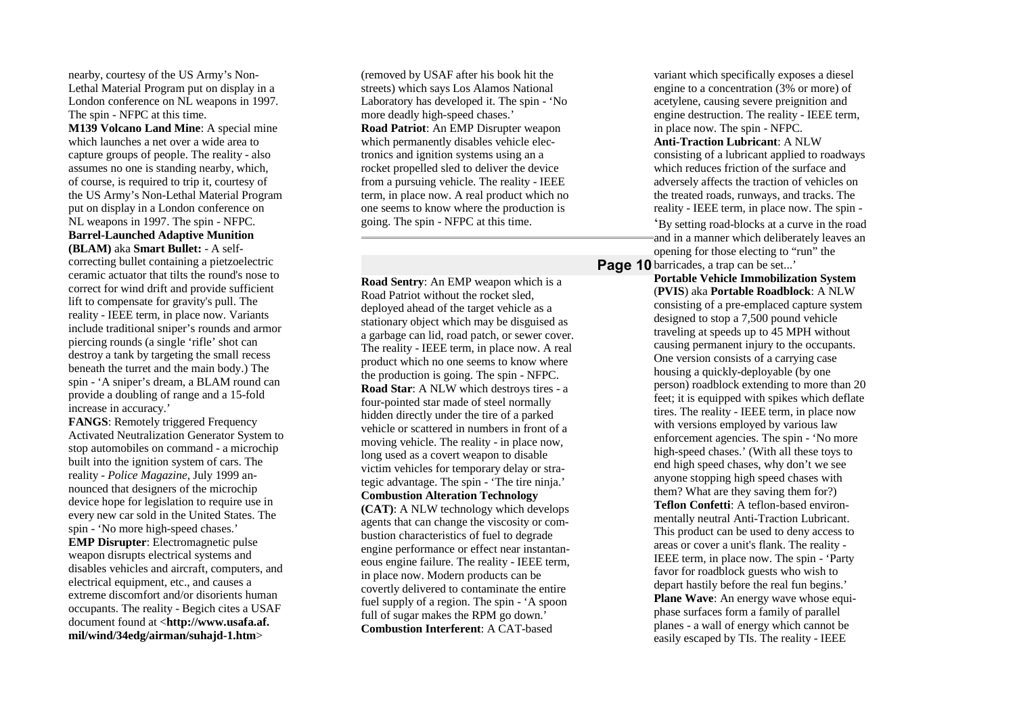nearby, courtesy of the US Army's Non-Lethal Material Program put on display in a London conference on NL weapons in 1997. The spin - NFPC at this time.

**M139 Volcano Land Mine**: A special mine which launches a net over a wide area to capture groups of people. The reality - also assumes no one is standing nearby, which, of course, is required to trip it, courtesy of the US Army's Non-Lethal Material Program put on display in a London conference on NL weapons in 1997. The spin - NFPC. **Barrel-Launched Adaptive Munition (BLAM)** aka **Smart Bullet:** - A selfcorrecting bullet containing a pietzoelectric ceramic actuator that tilts the round's nose to correct for wind drift and provide sufficient lift to compensate for gravity's pull. The reality - IEEE term, in place now. Variants include traditional sniper's rounds and armor piercing rounds (a single 'rifle' shot can destroy a tank by targeting the small recess beneath the turret and the main body.) The spin - 'A sniper's dream, a BLAM round can provide a doubling of range and a 15-fold increase in accuracy.'

**FANGS**: Remotely triggered Frequency Activated Neutralization Generator System to stop automobiles on command - a microchip built into the ignition system of cars. The reality - *Police Magazine*, July 1999 announced that designers of the microchip device hope for legislation to require use in every new car sold in the United States. The spin - 'No more high-speed chases.' **EMP Disrupter**: Electromagnetic pulse weapon disrupts electrical systems and disables vehicles and aircraft, computers, and electrical equipment, etc., and causes a extreme discomfort and/or disorients human occupants. The reality - Begich cites a USAF document found at <**http://www.usafa.af. mil/wind/34edg/airman/suhajd-1.htm**>

(removed by USAF after his book hit the streets) which says Los Alamos National Laboratory has developed it. The spin - 'No more deadly high-speed chases.' **Road Patriot**: An EMP Disrupter weapon which permanently disables vehicle electronics and ignition systems using an a rocket propelled sled to deliver the device from a pursuing vehicle. The reality - IEEE term, in place now. A real product which no one seems to know where the production is going. The spin - NFPC at this time.

**Road Sentry**: An EMP weapon which is a Road Patriot without the rocket sled, deployed ahead of the target vehicle as a stationary object which may be disguised as a garbage can lid, road patch, or sewer cover. The reality - IEEE term, in place now. A real product which no one seems to know where the production is going. The spin - NFPC. **Road Star**: A NLW which destroys tires - a four-pointed star made of steel normally hidden directly under the tire of a parked vehicle or scattered in numbers in front of a moving vehicle. The reality - in place now, long used as a covert weapon to disable victim vehicles for temporary delay or strategic advantage. The spin - 'The tire ninja.' **Combustion Alteration Technology (CAT)**: A NLW technology which develops agents that can change the viscosity or combustion characteristics of fuel to degrade engine performance or effect near instantaneous engine failure. The reality - IEEE term, in place now. Modern products can be covertly delivered to contaminate the entire fuel supply of a region. The spin - 'A spoon full of sugar makes the RPM go down.' **Combustion Interferent**: A CAT-based

variant which specifically exposes a diesel engine to a concentration (3% or more) of acetylene, causing severe preignition and engine destruction. The reality - IEEE term, in place now. The spin - NFPC. **Anti-Traction Lubricant**: A NLW consisting of a lubricant applied to roadways which reduces friction of the surface and adversely affects the traction of vehicles on the treated roads, runways, and tracks. The reality - IEEE term, in place now. The spin - 'By setting road-blocks at a curve in the road and in a manner which deliberately leaves an opening for those electing to "run" the

Page 10 barricades, a trap can be set...'

**Portable Vehicle Immobilization System** (**PVIS**) aka **Portable Roadblock**: A NLW consisting of a pre-emplaced capture system designed to stop a 7,500 pound vehicle traveling at speeds up to 45 MPH without causing permanent injury to the occupants. One version consists of a carrying case housing a quickly-deployable (by one person) roadblock extending to more than 20 feet; it is equipped with spikes which deflate tires. The reality - IEEE term, in place now with versions employed by various law enforcement agencies. The spin - 'No more high-speed chases.' (With all these toys to end high speed chases, why don't we see anyone stopping high speed chases with them? What are they saving them for?) **Teflon Confetti**: A teflon-based environmentally neutral Anti-Traction Lubricant. This product can be used to deny access to areas or cover a unit's flank. The reality - IEEE term, in place now. The spin - 'Party favor for roadblock guests who wish to depart hastily before the real fun begins.' **Plane Wave**: An energy wave whose equiphase surfaces form a family of parallel planes - a wall of energy which cannot be easily escaped by TIs. The reality - IEEE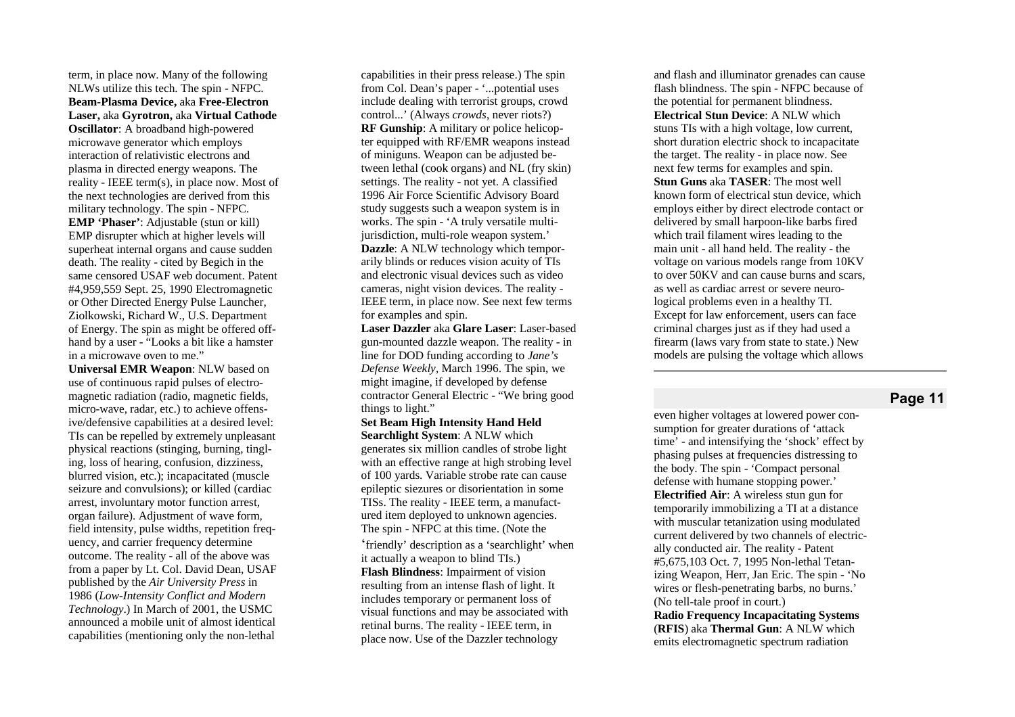term, in place now. Many of the following NLWs utilize this tech. The spin - NFPC. Beam-Plasma Device, aka Free-Electron Laser, aka Gyrotron, aka Virtual Cathode **Oscillator**: A broadband high-powered microwave generator which employs interaction of relativistic electrons and plasma in directed energy weapons. The reality - IEEE term(s), in place now. Most of the next technologies are derived from this military technology. The spin - NFPC. **EMP** 'Phaser': Adjustable (stun or kill) EMP disrupter which at higher levels will superheat internal organs and cause sudden death. The reality - cited by Begich in the same censored USAF web document. Patent #4,959,559 Sept. 25, 1990 Electromagnetic or Other Directed Energy Pulse Launcher, Ziolkowski, Richard W., U.S. Department of Energy. The spin as might be offered offhand by a user - "Looks a bit like a hamster in a microwave oven to me."

**Universal EMR Weapon**: NLW based on use of continuous rapid pulses of electro magnetic radiation (radio, magnetic fields, micro-wave, radar, etc.) to achieve offens ive/defensive capabilities at a desired level: TIs can be repelled by extremely unpleasant physical reactions (stinging, burning, tingl ing, loss of hearing, confusion, dizziness, blurred vision, etc.); incapacitated (muscle seizure and convulsions); or killed (cardiac arrest, involuntary motor function arrest, organ failure). Adjustment of wave form, field intensity, pulse widths, repetition freq uency, and carrier frequency determine outcome. The reality - all of the above was from a paper by Lt. Col. David Dean, USAF published by the *Air University Press* in 1986 (*Low-Intensity Conflict and Modern Technology*.) In March of 2001, the USMC announced a mobile unit of almost identical capabilities (mentioning only the non-lethal

capabilities in their press release.) The spin from Col. Dean's paper - '...potential uses include dealing with terrorist groups, crowd control...' (Always crowds, never riots?) **RF** Gunship: A military or police helicopter equipped with RF/EMR weapons instead of miniguns. Weapon can be adjusted between lethal (cook organs) and NL (fry skin) settings. The reality - not yet. A classified 1996 Air Force Scientific Advisory Board study suggests such a weapon system is in works. The spin - 'A truly versatile multijurisdiction, multi-role weapon system.' **Dazzle: A NLW technology which tempor**arily blinds or reduces vision acuity of TIs and electronic visual devices such as video cameras, night vision devices. The reality -IEEE term, in place now. See next few terms for examples and spin.

Laser Dazzler aka Glare Laser: Laser-based gun-mounted dazzle weapon. The reality - in line for DOD funding according to Jane's Defense Weekly, March 1996. The spin, we might imagine, if developed by defense contractor General Electric - "We bring good things to light."

Set Beam High Intensity Hand Held Searchlight System: A NLW which generates six million candles of strobe light with an effective range at high strobing level of 100 yards. Variable strobe rate can cause epileptic siezures or disorientation in some TISs. The reality - IEEE term, a manufactured item deployed to unknown agencies. The spin - NFPC at this time. (Note the 'friendly' description as a 'searchlight' when it actually a weapon to blind TIs.) Flash Blindness: Impairment of vision resulting from an intense flash of light. It includes temporary or permanent loss of visual functions and may be associated with retinal burns. The reality - IEEE term, in place now. Use of the Dazzler technology

and flash and illuminator grenades can cause flash blindness. The spin - NFPC because of the potential for permanent blindness. **Electrical Stun Device:** A NLW which stuns TIs with a high voltage, low current, short duration electric shock to incapacitate the target. The reality - in place now. See next few terms for examples and spin. Stun Guns aka TASER: The most well known form of electrical stun device, which employs either by direct electrode contact or delivered by small harpoon-like barbs fired which trail filament wires leading to the main unit - all hand held. The reality - the voltage on various models range from 10KV to over 50KV and can cause burns and scars, as well as cardiac arrest or severe neurological problems even in a healthy TI. Except for law enforcement, users can face criminal charges just as if they had used a firearm (laws vary from state to state.) New models are pulsing the voltage which allows

# **Page 11**

even higher voltages at lowered power consumption for greater durations of 'attack time' - and intensifying the 'shock' effect by phasing pulses at frequencies distressing to the body. The spin - 'Compact personal defense with humane stopping power.' **Electrified Air:** A wireless stun gun for temporarily immobilizing a TI at a distance with muscular tetanization using modulated current delivered by two channels of electrically conducted air. The reality - Patent #5,675,103 Oct. 7, 1995 Non-lethal Tetanizing Weapon, Herr, Jan Eric. The spin - 'No wires or flesh-penetrating barbs, no burns.' (No tell-tale proof in court.) **Radio Frequency Incapacitating Systems** (RFIS) aka Thermal Gun: A NLW which emits electromagnetic spectrum radiation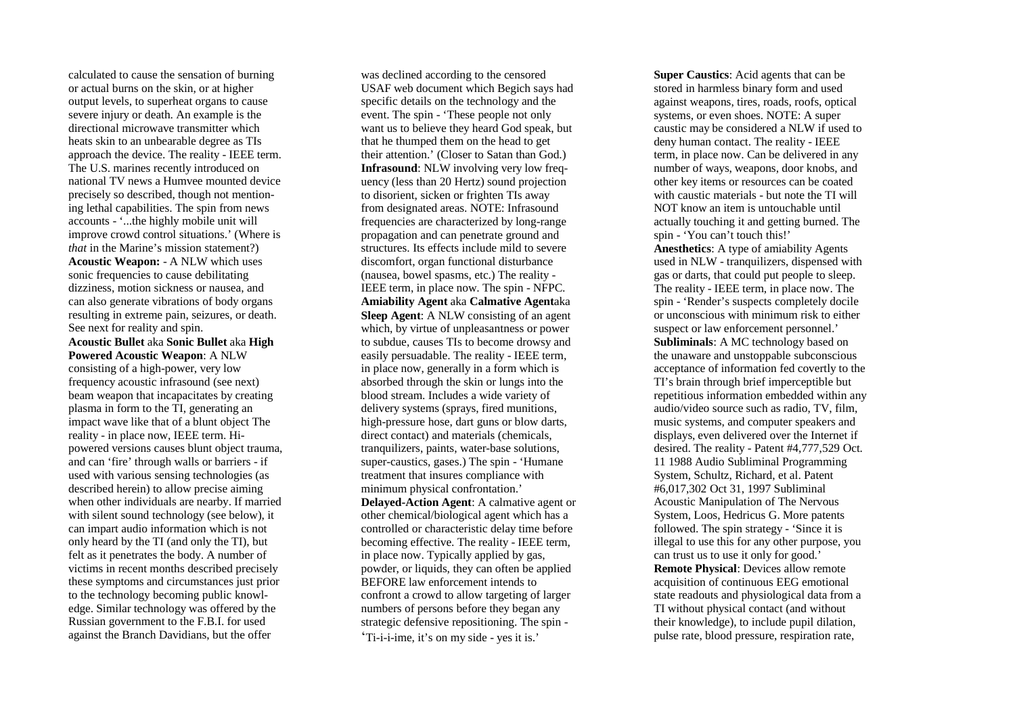calculated to cause the sensation of burning or actual burns on the skin, or at higher output levels, to superheat organs to cause severe injury or death. An example is the directional microwave transmitter which heats skin to an unbearable degree as TIs approach the device. The reality - IEEE term. The U.S. marines recently introduced on national TV news a Humvee mounted device precisely so described, though not mentioning lethal capabilities. The spin from news accounts - '...the highly mobile unit will improve crowd control situations.' (Where is *that* in the Marine's mission statement?) **Acoustic Weapon:** - A NLW which uses sonic frequencies to cause debilitating dizziness, motion sickness or nausea, and can also generate vibrations of body organs resulting in extreme pain, seizures, or death. See next for reality and spin. **Acoustic Bullet** aka **Sonic Bullet** aka **High Powered Acoustic Weapon**: A NLW consisting of a high-power, very low frequency acoustic infrasound (see next) beam weapon that incapacitates by creating plasma in form to the TI, generating an impact wave like that of a blunt object The reality - in place now, IEEE term. Hipowered versions causes blunt object trauma, and can 'fire' through walls or barriers - if used with various sensing technologies (as described herein) to allow precise aiming when other individuals are nearby. If married with silent sound technology (see below), it can impart audio information which is not only heard by the TI (and only the TI), but felt as it penetrates the body. A number of victims in recent months described precisely these symptoms and circumstances just prior to the technology becoming public knowledge. Similar technology was offered by the Russian government to the F.B.I. for used against the Branch Davidians, but the offer

was declined according to the censored USAF web document which Begich says had specific details on the technology and the event. The spin - 'These people not only want us to believe they heard God speak, but that he thumped them on the head to get their attention.' (Closer to Satan than God.) **Infrasound**: NLW involving very low frequency (less than 20 Hertz) sound projection to disorient, sicken or frighten TIs away from designated areas. NOTE: Infrasound frequencies are characterized by long-range propagation and can penetrate ground and structures. Its effects include mild to severe discomfort, organ functional disturbance (nausea, bowel spasms, etc.) The reality - IEEE term, in place now. The spin - NFPC. **Amiability Agent** aka **Calmative Agent**aka **Sleep Agent**: A NLW consisting of an agent which, by virtue of unpleasantness or power to subdue, causes TIs to become drowsy and easily persuadable. The reality - IEEE term, in place now, generally in a form which is absorbed through the skin or lungs into the blood stream. Includes a wide variety of delivery systems (sprays, fired munitions, high-pressure hose, dart guns or blow darts, direct contact) and materials (chemicals, tranquilizers, paints, water-base solutions, super-caustics, gases.) The spin - 'Humane treatment that insures compliance with minimum physical confrontation.' **Delayed-Action Agent**: A calmative agent or other chemical/biological agent which has a controlled or characteristic delay time before becoming effective. The reality - IEEE term, in place now. Typically applied by gas, powder, or liquids, they can often be applied BEFORE law enforcement intends to confront a crowd to allow targeting of larger numbers of persons before they began any strategic defensive repositioning. The spin - 'Ti-i-i-ime, it's on my side - yes it is.'

**Super Caustics**: Acid agents that can be stored in harmless binary form and used against weapons, tires, roads, roofs, optical systems, or even shoes. NOTE: A super caustic may be considered a NLW if used to deny human contact. The reality - IEEE term, in place now. Can be delivered in any number of ways, weapons, door knobs, and other key items or resources can be coated with caustic materials - but note the TI will NOT know an item is untouchable until actually touching it and getting burned. The spin - 'You can't touch this!' **Anesthetics**: A type of amiability Agents used in NLW - tranquilizers, dispensed with gas or darts, that could put people to sleep. The reality - IEEE term, in place now. The spin - 'Render's suspects completely docile or unconscious with minimum risk to either suspect or law enforcement personnel.' **Subliminals**: A MC technology based on the unaware and unstoppable subconscious acceptance of information fed covertly to the TI's brain through brief imperceptible but repetitious information embedded within any audio/video source such as radio, TV, film, music systems, and computer speakers and displays, even delivered over the Internet if desired. The reality - Patent #4,777,529 Oct. 11 1988 Audio Subliminal Programming System, Schultz, Richard, et al. Patent #6,017,302 Oct 31, 1997 Subliminal Acoustic Manipulation of The Nervous System, Loos, Hedricus G. More patents followed. The spin strategy - 'Since it is illegal to use this for any other purpose, you can trust us to use it only for good.' **Remote Physical**: Devices allow remote acquisition of continuous EEG emotional state readouts and physiological data from a TI without physical contact (and without their knowledge), to include pupil dilation, pulse rate, blood pressure, respiration rate,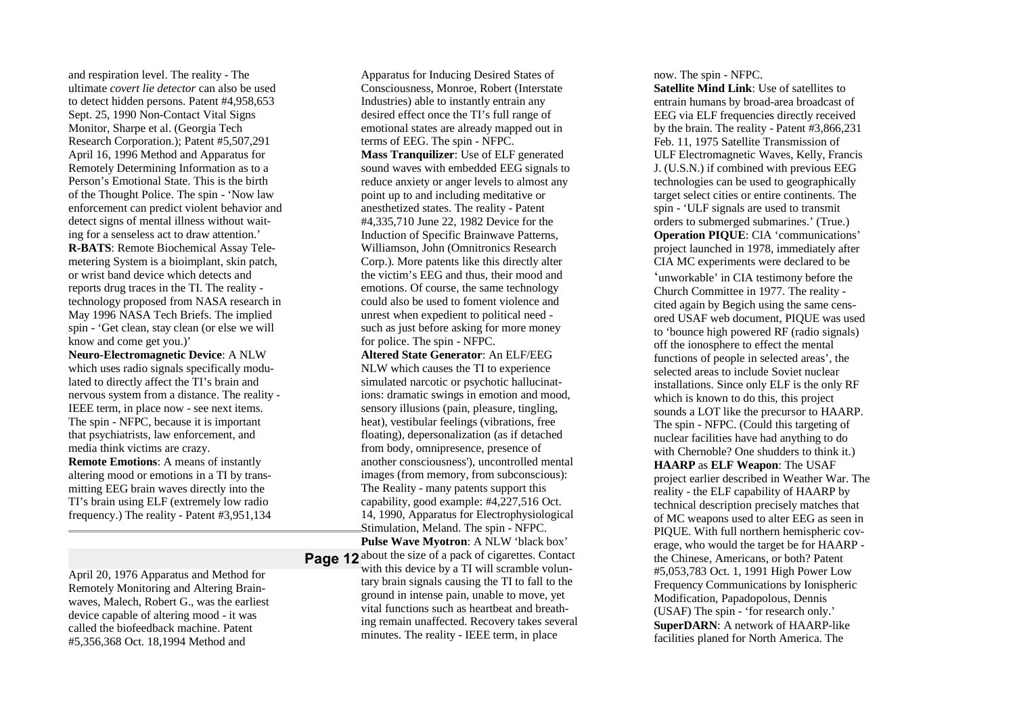and respiration level. The reality - The ultimate *covert lie detector* can also be used to detect hidden persons. Patent #4,958,653 Sept. 25, 1990 Non-Contact Vital Signs Monitor, Sharpe et al. (Georgia Tech Research Corporation.); Patent #5,507,291 April 16, 1996 Method and Apparatus for Remotely Determining Information as to a Person's Emotional State. This is the birth of the Thought Police. The spin - 'Now law enforcement can predict violent behavior and detect signs of mental illness without waiting for a senseless act to draw attention.' **R-BATS**: Remote Biochemical Assay Telemetering System is a bioimplant, skin patch, or wrist band device which detects and reports drug traces in the TI. The reality technology proposed from NASA research in May 1996 NASA Tech Briefs. The implied spin - 'Get clean, stay clean (or else we will know and come get you.)'

**Neuro-Electromagnetic Device**: A NLW which uses radio signals specifically modulated to directly affect the TI's brain and nervous system from a distance. The reality - IEEE term, in place now - see next items. The spin - NFPC, because it is important that psychiatrists, law enforcement, and media think victims are crazy.

**Remote Emotions**: A means of instantly altering mood or emotions in a TI by transmitting EEG brain waves directly into the TI's brain using ELF (extremely low radio frequency.) The reality - Patent #3,951,134

April 20, 1976 Apparatus and Method for Remotely Monitoring and Altering Brainwaves, Malech, Robert G., was the earliest device capable of altering mood - it was called the biofeedback machine. Patent #5,356,368 Oct. 18,1994 Method and

Apparatus for Inducing Desired States of Consciousness, Monroe, Robert (Interstate Industries) able to instantly entrain any desired effect once the TI's full range of emotional states are already mapped out in terms of EEG. The spin - NFPC. **Mass Tranquilizer**: Use of ELF generated sound waves with embedded EEG signals to reduce anxiety or anger levels to almost any point up to and including meditative or anesthetized states. The reality - Patent #4,335,710 June 22, 1982 Device for the Induction of Specific Brainwave Patterns, Williamson, John (Omnitronics Research Corp.). More patents like this directly alter the victim's EEG and thus, their mood and emotions. Of course, the same technology could also be used to foment violence and unrest when expedient to political need such as just before asking for more money for police. The spin - NFPC.

**Altered State Generator**: An ELF/EEG NLW which causes the TI to experience simulated narcotic or psychotic hallucinations: dramatic swings in emotion and mood, sensory illusions (pain, pleasure, tingling, heat), vestibular feelings (vibrations, free floating), depersonalization (as if detached from body, omnipresence, presence of another consciousness'), uncontrolled mental images (from memory, from subconscious): The Reality - many patents support this capability, good example: #4,227,516 Oct. 14, 1990, Apparatus for Electrophysiological Stimulation, Meland. The spin - NFPC. **Pulse Wave Myotron**: A NLW 'black box'

Page 12 about the size of a pack of cigarettes. Contact with this device by a TI will scramble voluntary brain signals causing the TI to fall to the ground in intense pain, unable to move, yet vital functions such as heartbeat and breathing remain unaffected. Recovery takes several minutes. The reality - IEEE term, in place

now. The spin - NFPC.

**Satellite Mind Link**: Use of satellites to entrain humans by broad-area broadcast of EEG via ELF frequencies directly received by the brain. The reality - Patent #3,866,231 Feb. 11, 1975 Satellite Transmission of ULF Electromagnetic Waves, Kelly, Francis J. (U.S.N.) if combined with previous EEG technologies can be used to geographically target select cities or entire continents. The spin - 'ULF signals are used to transmit orders to submerged submarines.' (True.) **Operation PIQUE**: CIA 'communications' project launched in 1978, immediately after CIA MC experiments were declared to be

'unworkable' in CIA testimony before the Church Committee in 1977. The reality cited again by Begich using the same censored USAF web document, PIQUE was used to 'bounce high powered RF (radio signals) off the ionosphere to effect the mental functions of people in selected areas', the selected areas to include Soviet nuclear installations. Since only ELF is the only RF which is known to do this, this project sounds a LOT like the precursor to HAARP. The spin - NFPC. (Could this targeting of nuclear facilities have had anything to do with Chernoble? One shudders to think it.) **HAARP** as **ELF Weapon**: The USAF project earlier described in Weather War. The reality - the ELF capability of HAARP by technical description precisely matches that of MC weapons used to alter EEG as seen in PIQUE. With full northern hemispheric coverage, who would the target be for HAARP the Chinese, Americans, or both? Patent #5,053,783 Oct. 1, 1991 High Power Low Frequency Communications by Ionispheric Modification, Papadopolous, Dennis (USAF) The spin - 'for research only.' **SuperDARN**: A network of HAARP-like facilities planed for North America. The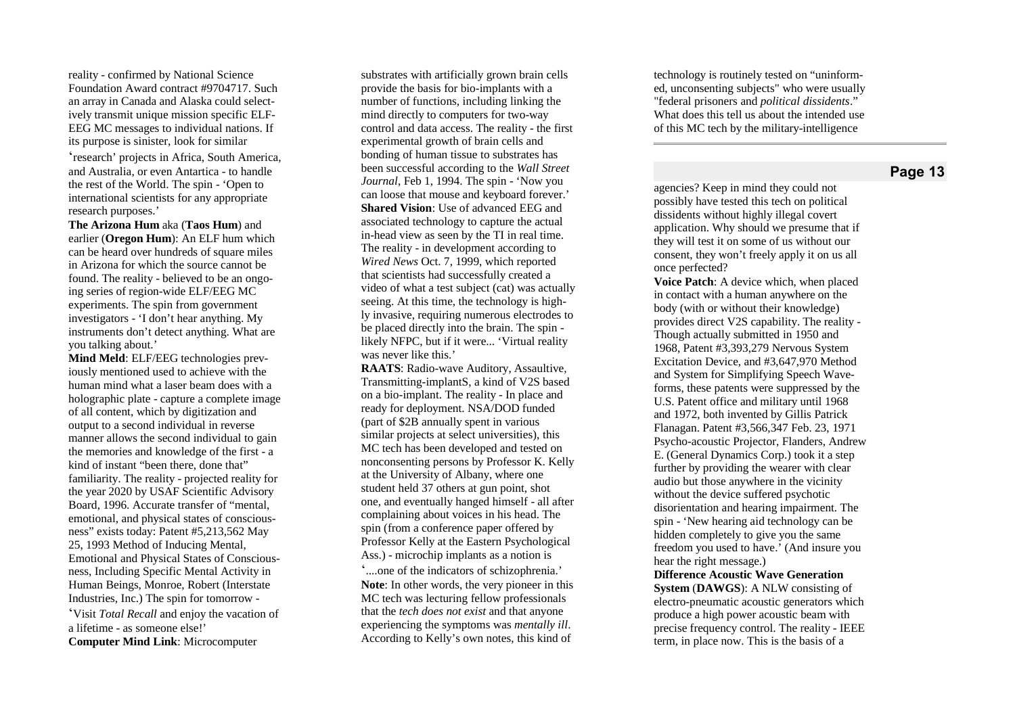reality - confirmed by National Science Foundation Award contract #9704717. Such an array in Canada and Alaska could selectively transmit unique mission specific ELF-EEG MC messages to individual nations. If its purpose is sinister, look for similar

'research' projects in Africa, South America, and Australia, or even Antartica - to handle the rest of the World. The spin - 'Open to international scientists for any appropriate research purposes.'

The Arizona Hum aka (Taos Hum) and earlier (Oregon Hum): An ELF hum which can be heard over hundreds of square miles in Arizona for which the source cannot be found. The reality - believed to be an ongoing series of region-wide ELF/EEG MC experiments. The spin from government investigators - 'I don't hear anything. My instruments don't detect anything. What are you talking about.'

Mind Meld: ELF/EEG technologies previously mentioned used to achieve with the human mind what a laser beam does with a holographic plate - capture a complete image of all content, which by digitization and output to a second individual in reverse manner allows the second individual to gain the memories and knowledge of the first - a kind of instant "been there, done that" familiarity. The reality - projected reality for the year 2020 by USAF Scientific Advisory Board, 1996. Accurate transfer of "mental, emotional, and physical states of consciousness" exists today: Patent #5,213,562 May 25, 1993 Method of Inducing Mental, Emotional and Physical States of Consciousness, Including Specific Mental Activity in Human Beings, Monroe, Robert (Interstate Industries, Inc.) The spin for tomorrow -'Visit Total Recall and enjoy the vacation of a lifetime - as someone else!' **Computer Mind Link:** Microcomputer

substrates with artificially grown brain cells provide the basis for bio-implants with a number of functions, including linking the mind directly to computers for two-way control and data access. The reality - the first experimental growth of brain cells and bonding of human tissue to substrates has been successful according to the Wall Street Journal, Feb 1, 1994. The spin - 'Now you can loose that mouse and keyboard forever.' Shared Vision: Use of advanced EEG and associated technology to capture the actual in-head view as seen by the TI in real time. The reality - in development according to Wired News Oct. 7, 1999, which reported that scientists had successfully created a video of what a test subject (cat) was actually seeing. At this time, the technology is highly invasive, requiring numerous electrodes to be placed directly into the brain. The spin likely NFPC, but if it were... 'Virtual reality was never like this.'

RAATS: Radio-wave Auditory, Assaultive, Transmitting-implantS, a kind of V2S based on a bio-implant. The reality - In place and ready for deployment. NSA/DOD funded (part of \$2B annually spent in various similar projects at select universities), this MC tech has been developed and tested on nonconsenting persons by Professor K. Kelly at the University of Albany, where one student held 37 others at gun point, shot one, and eventually hanged himself - all after complaining about voices in his head. The spin (from a conference paper offered by Professor Kelly at the Eastern Psychological Ass.) - microchip implants as a notion is '....one of the indicators of schizophrenia.' **Note:** In other words, the very pioneer in this MC tech was lecturing fellow professionals that the *tech does not exist* and that anyone experiencing the symptoms was *mentally ill*. According to Kelly's own notes, this kind of

technology is routinely tested on "uninformed, unconsenting subjects" who were usually "federal prisoners and political dissidents." What does this tell us about the intended use of this MC tech by the military-intelligence

# **Page 13**

agencies? Keep in mind they could not possibly have tested this tech on political dissidents without highly illegal covert application. Why should we presume that if they will test it on some of us without our consent, they won't freely apply it on us all once perfected?

Voice Patch: A device which, when placed in contact with a human anywhere on the body (with or without their knowledge) provides direct V2S capability. The reality -Though actually submitted in 1950 and 1968, Patent #3,393,279 Nervous System Excitation Device, and #3,647,970 Method and System for Simplifying Speech Waveforms, these patents were suppressed by the U.S. Patent office and military until 1968 and 1972, both invented by Gillis Patrick Flanagan. Patent #3,566,347 Feb. 23, 1971 Psycho-acoustic Projector, Flanders, Andrew E. (General Dynamics Corp.) took it a step further by providing the wearer with clear audio but those anywhere in the vicinity without the device suffered psychotic disorientation and hearing impairment. The spin - 'New hearing aid technology can be hidden completely to give you the same freedom you used to have.' (And insure you hear the right message.)

**Difference Acoustic Wave Generation System (DAWGS):** A NLW consisting of electro-pneumatic acoustic generators which produce a high power acoustic beam with precise frequency control. The reality - IEEE term, in place now. This is the basis of a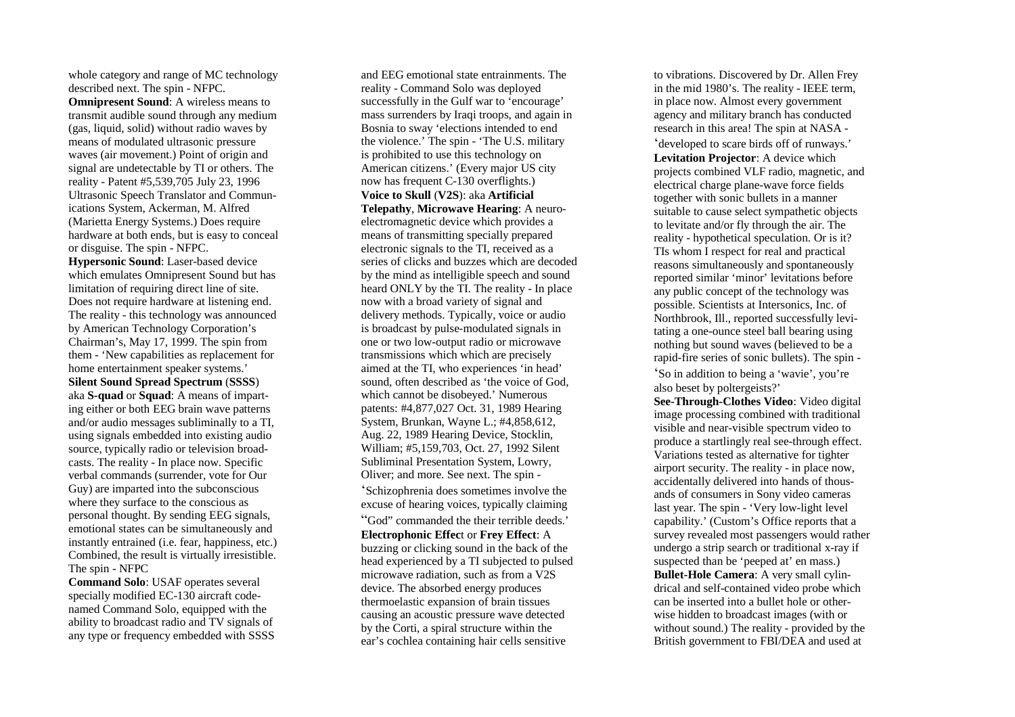whole category and range of MC technology described next. The spin - NFPC.

**Omnipresent Sound:** A wireless means to transmit audible sound through any medium (gas, liquid, solid) without radio waves by means of modulated ultrasonic pressure waves (air movement.) Point of origin and signal are undetectable by TI or others. The reality - Patent #5,539,705 July 23, 1996 Ultrasonic Speech Translator and Communications System, Ackerman, M. Alfred (Marietta Energy Systems.) Does require hardware at both ends, but is easy to conceal or disguise. The spin - NFPC.

Hypersonic Sound: Laser-based device which emulates Omnipresent Sound but has limitation of requiring direct line of site. Does not require hardware at listening end. The reality - this technology was announced by American Technology Corporation's Chairman's, May 17, 1999. The spin from them - 'New capabilities as replacement for home entertainment speaker systems.' **Silent Sound Spread Spectrum (SSSS)** aka S-quad or Squad: A means of imparting either or both EEG brain wave patterns and/or audio messages subliminally to a TI, using signals embedded into existing audio source, typically radio or television broadcasts. The reality - In place now. Specific verbal commands (surrender, vote for Our Guy) are imparted into the subconscious where they surface to the conscious as personal thought. By sending EEG signals, emotional states can be simultaneously and instantly entrained (i.e. fear, happiness, etc.) Combined, the result is virtually irresistible. The spin - NFPC

**Command Solo:** USAF operates several specially modified EC-130 aircraft codenamed Command Solo, equipped with the ability to broadcast radio and TV signals of any type or frequency embedded with SSSS and EEG emotional state entrainments. The reality - Command Solo was deployed successfully in the Gulf war to 'encourage' mass surrenders by Iraqi troops, and again in Bosnia to sway 'elections intended to end the violence.' The spin - 'The U.S. military is prohibited to use this technology on American citizens.' (Every major US city now has frequent C-130 overflights.) Voice to Skull (V2S): aka Artificial Telepathy, Microwave Hearing: A neuroelectromagnetic device which provides a means of transmitting specially prepared electronic signals to the TI, received as a series of clicks and buzzes which are decoded by the mind as intelligible speech and sound heard ONLY by the TI. The reality - In place now with a broad variety of signal and delivery methods. Typically, voice or audio is broadcast by pulse-modulated signals in one or two low-output radio or microwave transmissions which which are precisely aimed at the TI, who experiences 'in head' sound, often described as 'the voice of God, which cannot be disobeyed.' Numerous patents: #4,877,027 Oct. 31, 1989 Hearing System, Brunkan, Wayne L.; #4,858,612, Aug. 22, 1989 Hearing Device, Stocklin, William; #5,159,703, Oct. 27, 1992 Silent Subliminal Presentation System, Lowry, Oliver; and more. See next. The spin -'Schizophrenia does sometimes involve the excuse of hearing voices, typically claiming "God" commanded the their terrible deeds.' **Electrophonic Effect or Frey Effect: A** buzzing or clicking sound in the back of the head experienced by a TI subjected to pulsed microwave radiation, such as from a V2S device. The absorbed energy produces thermoelastic expansion of brain tissues causing an acoustic pressure wave detected by the Corti, a spiral structure within the ear's cochlea containing hair cells sensitive

to vibrations. Discovered by Dr. Allen Frey in the mid 1980's. The reality - IEEE term, in place now. Almost every government agency and military branch has conducted research in this area! The spin at NASA -'developed to scare birds off of runways.' Levitation Projector: A device which projects combined VLF radio, magnetic, and electrical charge plane-wave force fields together with sonic bullets in a manner suitable to cause select sympathetic objects to levitate and/or fly through the air. The reality - hypothetical speculation. Or is it? TIs whom I respect for real and practical reasons simultaneously and spontaneously reported similar 'minor' levitations before any public concept of the technology was possible. Scientists at Intersonics, Inc. of Northbrook, Ill., reported successfully levitating a one-ounce steel ball bearing using nothing but sound waves (believed to be a rapid-fire series of sonic bullets). The spin -'So in addition to being a 'wavie', you're also beset by poltergeists?'

See-Through-Clothes Video: Video digital image processing combined with traditional visible and near-visible spectrum video to produce a startlingly real see-through effect. Variations tested as alternative for tighter airport security. The reality - in place now, accidentally delivered into hands of thousands of consumers in Sony video cameras last year. The spin - 'Very low-light level capability.' (Custom's Office reports that a survey revealed most passengers would rather undergo a strip search or traditional x-ray if suspected than be 'peeped at' en mass.) Bullet-Hole Camera: A very small cylindrical and self-contained video probe which can be inserted into a bullet hole or otherwise hidden to broadcast images (with or without sound.) The reality - provided by the British government to FBI/DEA and used at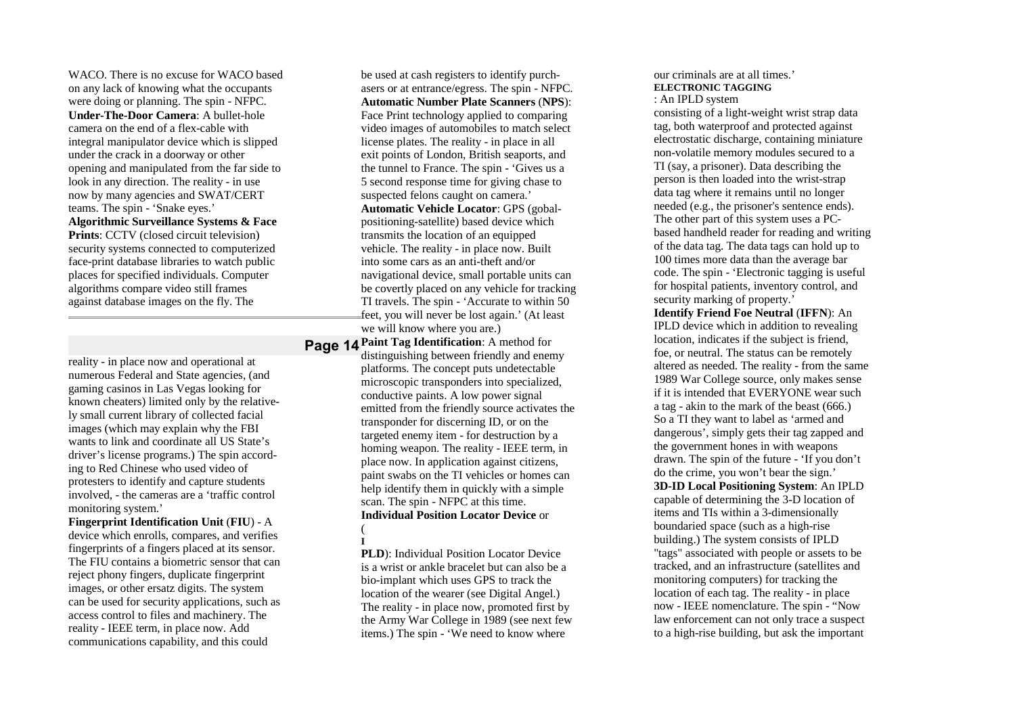WACO. There is no excuse for WACO based on any lack of knowing what the occupants were doing or planning. The spin - NFPC. **Under-The-Door Camera**: A bullet-hole camera on the end of a flex-cable with integral manipulator device which is slipped under the crack in a doorway or other opening and manipulated from the far side to look in any direction. The reality - in use now by many agencies and SWAT/CERT teams. The spin - 'Snake eyes.' **Algorithmic Surveillance Systems & Face Prints**: CCTV (closed circuit television) security systems connected to computerized face-print database libraries to watch public places for specified individuals. Computer algorithms compare video still frames against database images on the fly. The

reality - in place now and operational at numerous Federal and State agencies, (and gaming casinos in Las Vegas looking for known cheaters) limited only by the relatively small current library of collected facial images (which may explain why the FBI wants to link and coordinate all US State's driver's license programs.) The spin according to Red Chinese who used video of protesters to identify and capture students involved, - the cameras are a 'traffic control monitoring system.'

**Fingerprint Identification Unit** (**FIU**) - A device which enrolls, compares, and verifies fingerprints of a fingers placed at its sensor. The FIU contains a biometric sensor that can reject phony fingers, duplicate fingerprint images, or other ersatz digits. The system can be used for security applications, such as access control to files and machinery. The reality - IEEE term, in place now. Add communications capability, and this could

be used at cash registers to identify purchasers or at entrance/egress. The spin - NFPC. **Automatic Number Plate Scanners** (**NPS**): Face Print technology applied to comparing video images of automobiles to match select license plates. The reality - in place in all exit points of London, British seaports, and the tunnel to France. The spin - 'Gives us a 5 second response time for giving chase to suspected felons caught on camera.' **Automatic Vehicle Locator**: GPS (gobalpositioning-satellite) based device which transmits the location of an equipped vehicle. The reality - in place now. Built into some cars as an anti-theft and/or navigational device, small portable units can be covertly placed on any vehicle for tracking TI travels. The spin - 'Accurate to within 50 feet, you will never be lost again.' (At least we will know where you are.)

**Page 14 Paint Tag Identification:** A method for distinguishing between friendly and enemy platforms. The concept puts undetectable microscopic transponders into specialized, conductive paints. A low power signal emitted from the friendly source activates the transponder for discerning ID, or on the targeted enemy item - for destruction by a homing weapon. The reality - IEEE term, in place now. In application against citizens, paint swabs on the TI vehicles or homes can help identify them in quickly with a simple scan. The spin - NFPC at this time. **Individual Position Locator Device** or

(

**I**

**PLD**): Individual Position Locator Device is a wrist or ankle bracelet but can also be a bio-implant which uses GPS to track the location of the wearer (see Digital Angel.) The reality - in place now, promoted first by the Army War College in 1989 (see next few items.) The spin - 'We need to know where

#### our criminals are at all times.' **ELECTRONIC TAGGING** : An IPLD system

consisting of a light-weight wrist strap data tag, both waterproof and protected against electrostatic discharge, containing miniature non-volatile memory modules secured to a TI (say, a prisoner). Data describing the person is then loaded into the wrist-strap data tag where it remains until no longer needed (e.g., the prisoner's sentence ends). The other part of this system uses a PCbased handheld reader for reading and writing of the data tag. The data tags can hold up to 100 times more data than the average bar code. The spin - 'Electronic tagging is useful for hospital patients, inventory control, and security marking of property.'

**Identify Friend Foe Neutral** (**IFFN**): An IPLD device which in addition to revealing location, indicates if the subject is friend, foe, or neutral. The status can be remotely altered as needed. The reality - from the same 1989 War College source, only makes sense if it is intended that EVERYONE wear such a tag - akin to the mark of the beast (666.) So a TI they want to label as 'armed and dangerous', simply gets their tag zapped and the government hones in with weapons drawn. The spin of the future - 'If you don't do the crime, you won't bear the sign.' **3D-ID Local Positioning System**: An IPLD capable of determining the 3-D location of items and TIs within a 3-dimensionally boundaried space (such as a high-rise building.) The system consists of IPLD "tags" associated with people or assets to be tracked, and an infrastructure (satellites and monitoring computers) for tracking the location of each tag. The reality - in place now - IEEE nomenclature. The spin - "Now law enforcement can not only trace a suspect to a high-rise building, but ask the important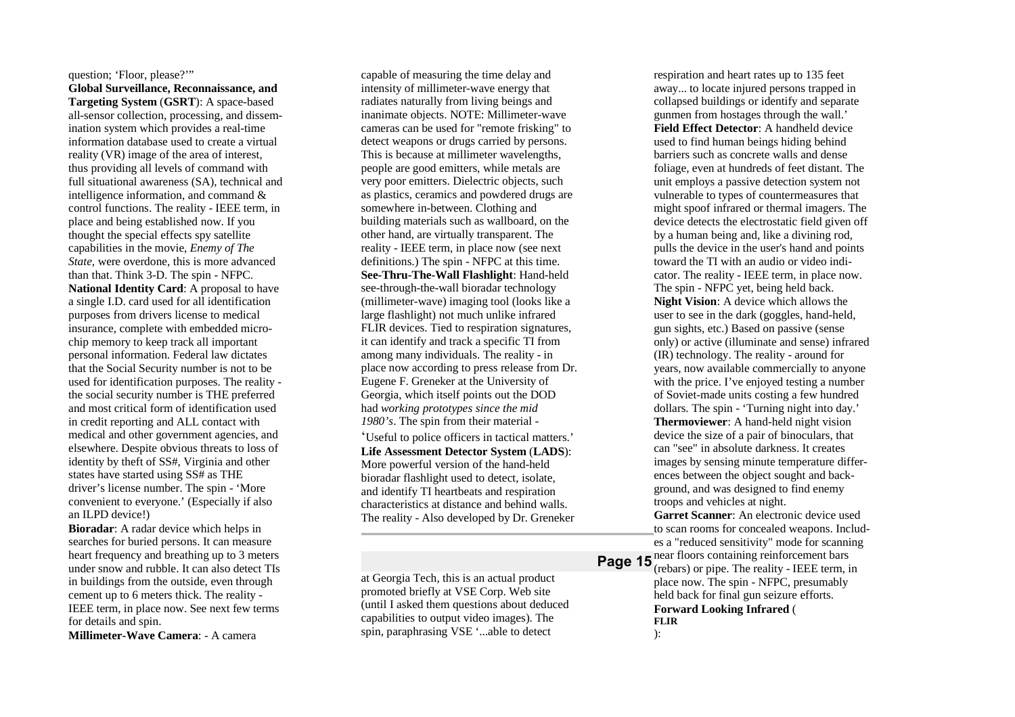## question; 'Floor, please?'" **Global Surveillance, Reconnaissance, and Targeting System** (**GSRT**): A space-based all-sensor collection, processing, and dissemination system which provides a real-time

information database used to create a virtual reality (VR) image of the area of interest, thus providing all levels of command with full situational awareness (SA), technical and intelligence information, and command & control functions. The reality - IEEE term, in place and being established now. If you thought the special effects spy satellite capabilities in the movie, *Enemy of The State,* were overdone, this is more advanced than that. Think 3-D. The spin - NFPC. **National Identity Card**: A proposal to have a single I.D. card used for all identification purposes from drivers license to medical insurance, complete with embedded microchip memory to keep track all important personal information. Federal law dictates that the Social Security number is not to be used for identification purposes. The reality the social security number is THE preferred and most critical form of identification used in credit reporting and ALL contact with medical and other government agencies, and elsewhere. Despite obvious threats to loss of identity by theft of SS#, Virginia and other states have started using SS# as THE driver's license number. The spin - 'More convenient to everyone.' (Especially if also an ILPD device!)

**Bioradar**: A radar device which helps in searches for buried persons. It can measure heart frequency and breathing up to 3 meters under snow and rubble. It can also detect TIs in buildings from the outside, even through cement up to 6 meters thick. The reality - IEEE term, in place now. See next few terms for details and spin.

**Millimeter-Wave Camera**: - A camera

capable of measuring the time delay and intensity of millimeter-wave energy that radiates naturally from living beings and inanimate objects. NOTE: Millimeter-wave cameras can be used for "remote frisking" to detect weapons or drugs carried by persons. This is because at millimeter wavelengths, people are good emitters, while metals are very poor emitters. Dielectric objects, such as plastics, ceramics and powdered drugs are somewhere in-between. Clothing and building materials such as wallboard, on the other hand, are virtually transparent. The reality - IEEE term, in place now (see next definitions.) The spin - NFPC at this time. **See-Thru-The-Wall Flashlight**: Hand-held see-through-the-wall bioradar technology (millimeter-wave) imaging tool (looks like a large flashlight) not much unlike infrared FLIR devices. Tied to respiration signatures, it can identify and track a specific TI from among many individuals. The reality - in place now according to press release from Dr. Eugene F. Greneker at the University of Georgia, which itself points out the DOD had *working prototypes since the mid 1980's*. The spin from their material - 'Useful to police officers in tactical matters.' **Life Assessment Detector System** (**LADS**): More powerful version of the hand-held bioradar flashlight used to detect, isolate, and identify TI heartbeats and respiration characteristics at distance and behind walls. The reality - Also developed by Dr. Greneker

at Georgia Tech, this is an actual product promoted briefly at VSE Corp. Web site (until I asked them questions about deduced capabilities to output video images). The spin, paraphrasing VSE '...able to detect

respiration and heart rates up to 135 feet away... to locate injured persons trapped in collapsed buildings or identify and separate gunmen from hostages through the wall.' **Field Effect Detector**: A handheld device used to find human beings hiding behind barriers such as concrete walls and dense foliage, even at hundreds of feet distant. The unit employs a passive detection system not vulnerable to types of countermeasures that might spoof infrared or thermal imagers. The device detects the electrostatic field given off by a human being and, like a divining rod, pulls the device in the user's hand and points toward the TI with an audio or video indicator. The reality - IEEE term, in place now. The spin - NFPC yet, being held back. **Night Vision**: A device which allows the user to see in the dark (goggles, hand-held, gun sights, etc.) Based on passive (sense only) or active (illuminate and sense) infrared (IR) technology. The reality - around for years, now available commercially to anyone with the price. I've enjoyed testing a number of Soviet-made units costing a few hundred dollars. The spin - 'Turning night into day.' **Thermoviewer**: A hand-held night vision device the size of a pair of binoculars, that can "see" in absolute darkness. It creates images by sensing minute temperature differences between the object sought and background, and was designed to find enemy troops and vehicles at night. **Garret Scanner**: An electronic device used to scan rooms for concealed weapons. Includes a "reduced sensitivity" mode for scanning

**Page 15** near floors containing reinforcement bars (rebars) or pipe. The reality - IEEE term, in place now. The spin - NFPC, presumably held back for final gun seizure efforts. **Forward Looking Infrared** ( **FLIR** ):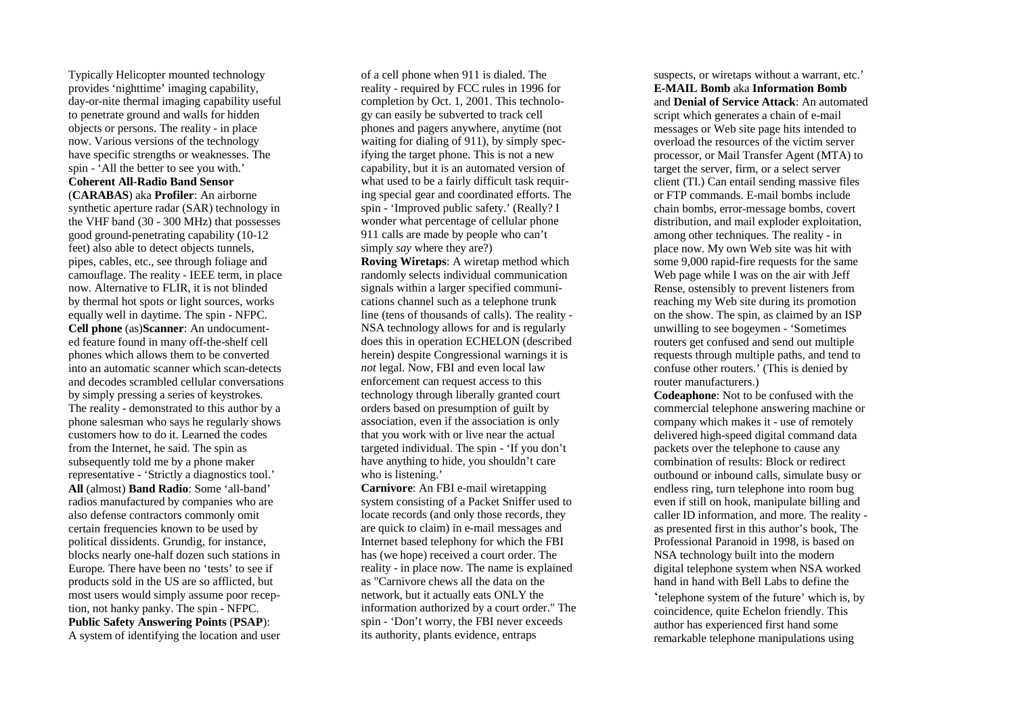Typically Helicopter mounted technology provides 'nighttime' imaging capability, day-or-nite thermal imaging capability useful to penetrate ground and walls for hidden objects or persons. The reality - in place now. Various versions of the technology have specific strengths or weaknesses. The spin - 'All the better to see you with.' **Coherent All-Radio Band Sensor** (**CARABAS**) aka **Profiler**: An airborne

synthetic aperture radar (SAR) technology in the VHF band (30 - 300 MHz) that possesses good ground-penetrating capability (10-12 feet) also able to detect objects tunnels, pipes, cables, etc., see through foliage and camouflage. The reality - IEEE term, in place now. Alternative to FLIR, it is not blinded by thermal hot spots or light sources, works equally well in daytime. The spin - NFPC. **Cell phone** (as)**Scanner**: An undocumented feature found in many off-the-shelf cell phones which allows them to be converted into an automatic scanner which scan-detects and decodes scrambled cellular conversations by simply pressing a series of keystrokes. The reality - demonstrated to this author by a phone salesman who says he regularly shows customers how to do it. Learned the codes from the Internet, he said. The spin as subsequently told me by a phone maker representative - 'Strictly a diagnostics tool.' **All** (almost) **Band Radio**: Some 'all-band' radios manufactured by companies who are also defense contractors commonly omit certain frequencies known to be used by political dissidents. Grundig, for instance, blocks nearly one-half dozen such stations in Europe. There have been no 'tests' to see if products sold in the US are so afflicted, but most users would simply assume poor reception, not hanky panky. The spin - NFPC. **Public Safety Answering Points** (**PSAP**): A system of identifying the location and user

of a cell phone when 911 is dialed. The reality - required by FCC rules in 1996 for completion by Oct. 1, 2001. This technology can easily be subverted to track cell phones and pagers anywhere, anytime (not waiting for dialing of 911), by simply specifying the target phone. This is not a new capability, but it is an automated version of what used to be a fairly difficult task requiring special gear and coordinated efforts. The spin - 'Improved public safety.' (Really? I wonder what percentage of cellular phone 911 calls are made by people who can't simply *say* where they are?)

**Roving Wiretaps**: A wiretap method which randomly selects individual communication signals within a larger specified communications channel such as a telephone trunk line (tens of thousands of calls). The reality - NSA technology allows for and is regularly does this in operation ECHELON (described herein) despite Congressional warnings it is *not* legal. Now, FBI and even local law enforcement can request access to this technology through liberally granted court orders based on presumption of guilt by association, even if the association is only that you work with or live near the actual targeted individual. The spin - 'If you don't have anything to hide, you shouldn't care who is listening.'

**Carnivore**: An FBI e-mail wiretapping system consisting of a Packet Sniffer used to locate records (and only those records, they are quick to claim) in e-mail messages and Internet based telephony for which the FBI has (we hope) received a court order. The reality - in place now. The name is explained as "Carnivore chews all the data on the network, but it actually eats ONLY the information authorized by a court order." The spin - 'Don't worry, the FBI never exceeds its authority, plants evidence, entraps

suspects, or wiretaps without a warrant, etc.' **E-MAIL Bomb** aka **Information Bomb** and **Denial of Service Attack**: An automated script which generates a chain of e-mail messages or Web site page hits intended to overload the resources of the victim server processor, or Mail Transfer Agent (MTA) to target the server, firm, or a select server client (TI.) Can entail sending massive files or FTP commands. E-mail bombs include chain bombs, error-message bombs, covert distribution, and mail exploder exploitation, among other techniques. The reality - in place now. My own Web site was hit with some 9,000 rapid-fire requests for the same Web page while I was on the air with Jeff Rense, ostensibly to prevent listeners from reaching my Web site during its promotion on the show. The spin, as claimed by an ISP

unwilling to see bogeymen - 'Sometimes routers get confused and send out multiple requests through multiple paths, and tend to confuse other routers.' (This is denied by router manufacturers.)

**Codeaphone**: Not to be confused with the commercial telephone answering machine or company which makes it - use of remotely delivered high-speed digital command data packets over the telephone to cause any combination of results: Block or redirect outbound or inbound calls, simulate busy or endless ring, turn telephone into room bug even if still on hook, manipulate billing and caller ID information, and more. The reality as presented first in this author's book, The Professional Paranoid in 1998, is based on NSA technology built into the modern digital telephone system when NSA worked hand in hand with Bell Labs to define the 'telephone system of the future' which is, by coincidence, quite Echelon friendly. This author has experienced first hand some remarkable telephone manipulations using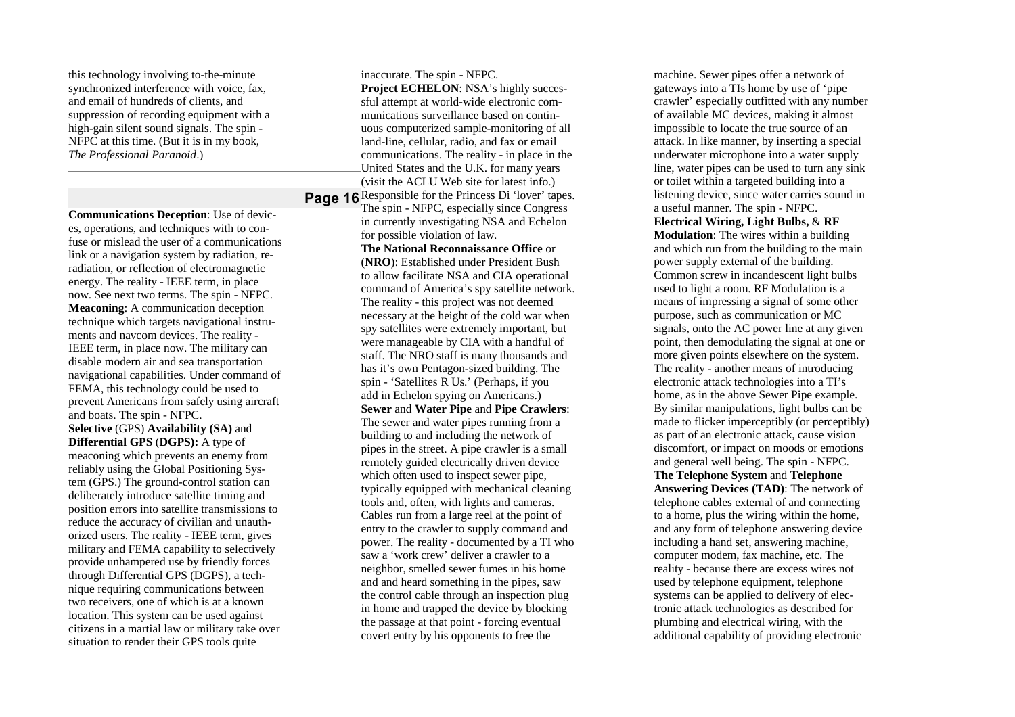this technology involving to-the-minute synchronized interference with voice, fax, and email of hundreds of clients, and suppression of recording equipment with a high-gain silent sound signals. The spin - NFPC at this time. (But it is in my book, *The Professional Paranoid*.)

**Communications Deception**: Use of devices, operations, and techniques with to confuse or mislead the user of a communications link or a navigation system by radiation, reradiation, or reflection of electromagnetic energy. The reality - IEEE term, in place now. See next two terms. The spin - NFPC. **Meaconing**: A communication deception technique which targets navigational instruments and navcom devices. The reality - IEEE term, in place now. The military can disable modern air and sea transportation navigational capabilities. Under command of FEMA, this technology could be used to prevent Americans from safely using aircraft and boats. The spin - NFPC. **Selective** (GPS) **Availability (SA)** and **Differential GPS** (**DGPS):** A type of meaconing which prevents an enemy from reliably using the Global Positioning System (GPS.) The ground-control station can deliberately introduce satellite timing and position errors into satellite transmissions to reduce the accuracy of civilian and unauthorized users. The reality - IEEE term, gives military and FEMA capability to selectively provide unhampered use by friendly forces through Differential GPS (DGPS), a technique requiring communications between two receivers, one of which is at a known location. This system can be used against citizens in a martial law or military take over situation to render their GPS tools quite

**Page 16** Responsible for the Princess Di 'lover' tapes. inaccurate. The spin - NFPC. **Project ECHELON**: NSA's highly successful attempt at world-wide electronic communications surveillance based on continuous computerized sample-monitoring of all land-line, cellular, radio, and fax or email communications. The reality - in place in the United States and the U.K. for many years (visit the ACLU Web site for latest info.) The spin - NFPC, especially since Congress in currently investigating NSA and Echelon for possible violation of law.

> **The National Reconnaissance Office** or (**NRO**): Established under President Bush to allow facilitate NSA and CIA operational command of America's spy satellite network. The reality - this project was not deemed necessary at the height of the cold war when spy satellites were extremely important, but were manageable by CIA with a handful of staff. The NRO staff is many thousands and has it's own Pentagon-sized building. The spin - 'Satellites R Us.' (Perhaps, if you add in Echelon spying on Americans.) **Sewer** and **Water Pipe** and **Pipe Crawlers**: The sewer and water pipes running from a building to and including the network of pipes in the street. A pipe crawler is a small remotely guided electrically driven device which often used to inspect sewer pipe, typically equipped with mechanical cleaning tools and, often, with lights and cameras. Cables run from a large reel at the point of entry to the crawler to supply command and power. The reality - documented by a TI who saw a 'work crew' deliver a crawler to a neighbor, smelled sewer fumes in his home and and heard something in the pipes, saw the control cable through an inspection plug in home and trapped the device by blocking the passage at that point - forcing eventual covert entry by his opponents to free the

machine. Sewer pipes offer a network of gateways into a TIs home by use of 'pipe crawler' especially outfitted with any number of available MC devices, making it almost impossible to locate the true source of an attack. In like manner, by inserting a special underwater microphone into a water supply line, water pipes can be used to turn any sink or toilet within a targeted building into a listening device, since water carries sound in a useful manner. The spin - NFPC. **Electrical Wiring, Light Bulbs,** & **RF Modulation**: The wires within a building and which run from the building to the main power supply external of the building. Common screw in incandescent light bulbs used to light a room. RF Modulation is a means of impressing a signal of some other purpose, such as communication or MC signals, onto the AC power line at any given point, then demodulating the signal at one or more given points elsewhere on the system. The reality - another means of introducing electronic attack technologies into a TI's home, as in the above Sewer Pipe example. By similar manipulations, light bulbs can be made to flicker imperceptibly (or perceptibly) as part of an electronic attack, cause vision discomfort, or impact on moods or emotions and general well being. The spin - NFPC. **The Telephone System** and **Telephone Answering Devices (TAD)**: The network of telephone cables external of and connecting to a home, plus the wiring within the home, and any form of telephone answering device including a hand set, answering machine, computer modem, fax machine, etc. The reality - because there are excess wires not used by telephone equipment, telephone systems can be applied to delivery of electronic attack technologies as described for plumbing and electrical wiring, with the additional capability of providing electronic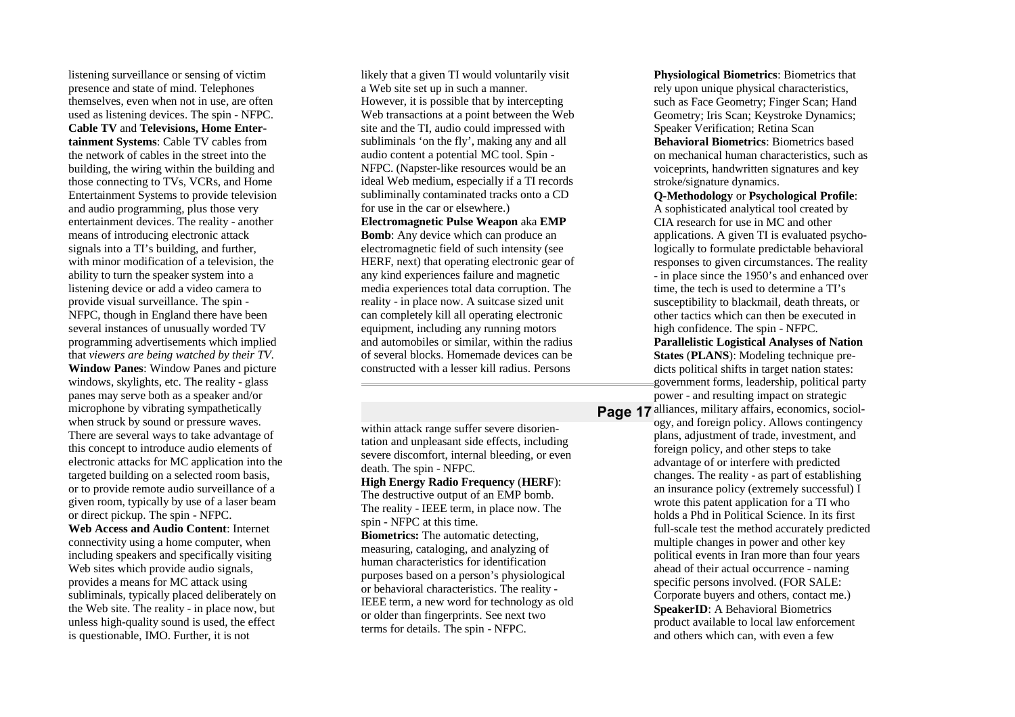listening surveillance or sensing of victim presence and state of mind. Telephones themselves, even when not in use, are often used as listening devices. The spin - NFPC. **Cable TV** and **Televisions, Home Entertainment Systems**: Cable TV cables from the network of cables in the street into the building, the wiring within the building and those connecting to TVs, VCRs, and Home Entertainment Systems to provide television and audio programming, plus those very entertainment devices. The reality - another means of introducing electronic attack signals into a TI's building, and further, with minor modification of a television, the ability to turn the speaker system into a listening device or add a video camera to provide visual surveillance. The spin - NFPC, though in England there have been several instances of unusually worded TV programming advertisements which implied that *viewers are being watched by their TV*. **Window Panes**: Window Panes and picture windows, skylights, etc. The reality - glass panes may serve both as a speaker and/or microphone by vibrating sympathetically when struck by sound or pressure waves. There are several ways to take advantage of this concept to introduce audio elements of electronic attacks for MC application into the targeted building on a selected room basis, or to provide remote audio surveillance of a given room, typically by use of a laser beam or direct pickup. The spin - NFPC. **Web Access and Audio Content**: Internet connectivity using a home computer, when

including speakers and specifically visiting Web sites which provide audio signals, provides a means for MC attack using subliminals, typically placed deliberately on the Web site. The reality - in place now, but unless high-quality sound is used, the effect is questionable, IMO. Further, it is not

likely that a given TI would voluntarily visit a Web site set up in such a manner. However, it is possible that by intercepting Web transactions at a point between the Web site and the TI, audio could impressed with subliminals 'on the fly', making any and all audio content a potential MC tool. Spin - NFPC. (Napster-like resources would be an ideal Web medium, especially if a TI records subliminally contaminated tracks onto a CD for use in the car or elsewhere.) **Electromagnetic Pulse Weapon** aka **EMP Bomb**: Any device which can produce an electromagnetic field of such intensity (see HERF, next) that operating electronic gear of any kind experiences failure and magnetic media experiences total data corruption. The reality - in place now. A suitcase sized unit

can completely kill all operating electronic equipment, including any running motors and automobiles or similar, within the radius of several blocks. Homemade devices can be constructed with a lesser kill radius. Persons

within attack range suffer severe disorientation and unpleasant side effects, including severe discomfort, internal bleeding, or even death. The spin - NFPC.

#### **High Energy Radio Frequency** (**HERF**):

The destructive output of an EMP bomb. The reality - IEEE term, in place now. The spin - NFPC at this time.

**Biometrics:** The automatic detecting, measuring, cataloging, and analyzing of human characteristics for identification purposes based on a person's physiological or behavioral characteristics. The reality - IEEE term, a new word for technology as old or older than fingerprints. See next two terms for details. The spin - NFPC.

**Physiological Biometrics**: Biometrics that rely upon unique physical characteristics, such as Face Geometry; Finger Scan; Hand Geometry; Iris Scan; Keystroke Dynamics; Speaker Verification; Retina Scan **Behavioral Biometrics**: Biometrics based on mechanical human characteristics, such as voiceprints, handwritten signatures and key stroke/signature dynamics.

**Q-Methodology** or **Psychological Profile**: A sophisticated analytical tool created by CIA research for use in MC and other applications. A given TI is evaluated psychologically to formulate predictable behavioral responses to given circumstances. The reality - in place since the 1950's and enhanced over time, the tech is used to determine a TI's susceptibility to blackmail, death threats, or other tactics which can then be executed in high confidence. The spin - NFPC. **Parallelistic Logistical Analyses of Nation**

**States** (**PLANS**): Modeling technique predicts political shifts in target nation states: government forms, leadership, political party power - and resulting impact on strategic

Page 17 alliances, military affairs, economics, sociology, and foreign policy. Allows contingency plans, adjustment of trade, investment, and foreign policy, and other steps to take advantage of or interfere with predicted changes. The reality - as part of establishing an insurance policy (extremely successful) I wrote this patent application for a TI who holds a Phd in Political Science. In its first full-scale test the method accurately predicted multiple changes in power and other key political events in Iran more than four years ahead of their actual occurrence - naming specific persons involved. (FOR SALE: Corporate buyers and others, contact me.) **SpeakerID**: A Behavioral Biometrics product available to local law enforcement and others which can, with even a few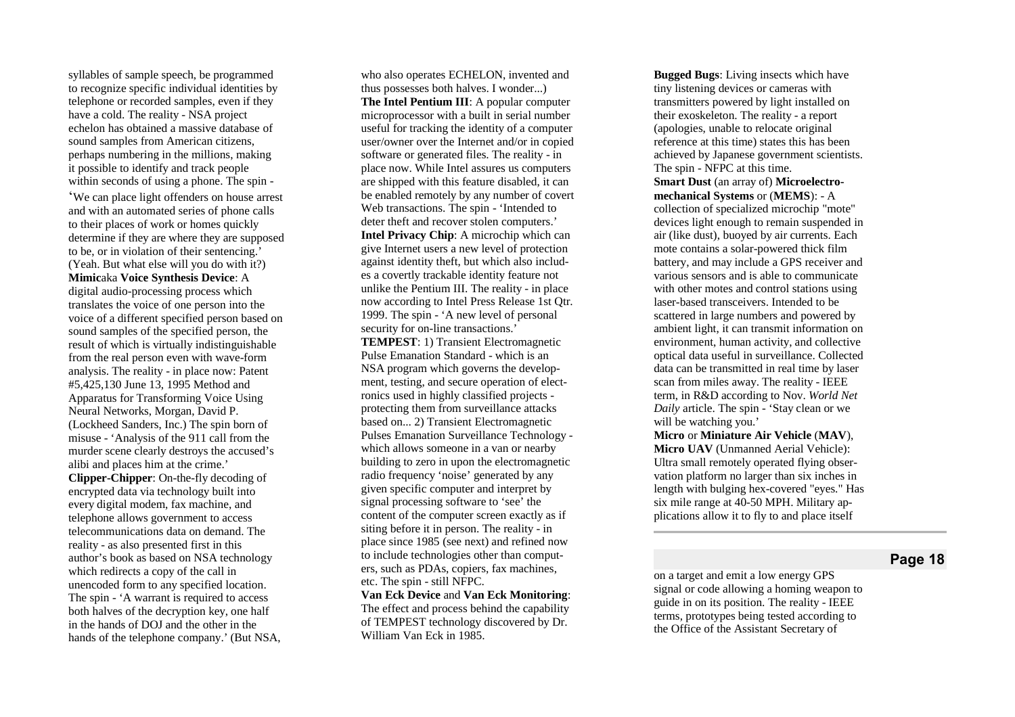syllables of sample speech, be programmed to recognize specific individual identities by telephone or recorded samples, even if they have a cold. The reality - NSA project echelon has obtained a massive database of sound samples from American citizens, perhaps numbering in the millions, making it possible to identify and track people within seconds of using a phone. The spin -

'We can place light offenders on house arrest and with an automated series of phone calls to their places of work or homes quickly determine if they are where they are supposed to be, or in violation of their sentencing.' (Yeah. But what else will you do with it?) Mimicaka Voice Synthesis Device: A digital audio-processing process which translates the voice of one person into the voice of a different specified person based on sound samples of the specified person, the result of which is virtually indistinguishable from the real person even with wave-form analysis. The reality - in place now: Patent #5,425,130 June 13, 1995 Method and Apparatus for Transforming Voice Using Neural Networks, Morgan, David P. (Lockheed Sanders, Inc.) The spin born of misuse - 'Analysis of the 911 call from the murder scene clearly destroys the accused's alibi and places him at the crime.' **Clipper-Chipper**: On-the-fly decoding of encrypted data via technology built into every digital modem, fax machine, and telephone allows government to access telecommunications data on demand. The reality - as also presented first in this author's book as based on NSA technology which redirects a copy of the call in unencoded form to any specified location. The spin - 'A warrant is required to access both halves of the decryption key, one half in the hands of DOJ and the other in the hands of the telephone company.' (But NSA,

who also operates ECHELON, invented and thus possesses both halves. I wonder...) **The Intel Pentium III**: A popular computer microprocessor with a built in serial number useful for tracking the identity of a computer user/owner over the Internet and/or in copied software or generated files. The reality - in place now. While Intel assures us computers are shipped with this feature disabled, it can be enabled remotely by any number of covert Web transactions. The spin - 'Intended to deter theft and recover stolen computers.' **Intel Privacy Chip**: A microchip which can give Internet users a new level of protection against identity theft, but which also includes a covertly trackable identity feature not unlike the Pentium III. The reality - in place now according to Intel Press Release 1st Qtr. 1999. The spin - 'A new level of personal security for on-line transactions.' **TEMPEST: 1) Transient Electromagnetic** Pulse Emanation Standard - which is an NSA program which governs the development, testing, and secure operation of electronics used in highly classified projects protecting them from surveillance attacks based on... 2) Transient Electromagnetic Pulses Emanation Surveillance Technology which allows someone in a van or nearby building to zero in upon the electromagnetic radio frequency 'noise' generated by any given specific computer and interpret by signal processing software to 'see' the content of the computer screen exactly as if siting before it in person. The reality - in place since 1985 (see next) and refined now to include technologies other than computers, such as PDAs, copiers, fax machines, etc. The spin - still NFPC.

Van Eck Device and Van Eck Monitoring: The effect and process behind the capability of TEMPEST technology discovered by Dr. William Van Eck in 1985.

**Bugged Bugs:** Living insects which have tiny listening devices or cameras with transmitters powered by light installed on their exoskeleton. The reality - a report (apologies, unable to relocate original reference at this time) states this has been achieved by Japanese government scientists. The spin - NFPC at this time. Smart Dust (an array of) Microelectromechanical Systems or (MEMS): - A collection of specialized microchip "mote" devices light enough to remain suspended in air (like dust), buoyed by air currents. Each mote contains a solar-powered thick film battery, and may include a GPS receiver and various sensors and is able to communicate with other motes and control stations using laser-based transceivers. Intended to be scattered in large numbers and powered by ambient light, it can transmit information on environment, human activity, and collective optical data useful in surveillance. Collected data can be transmitted in real time by laser scan from miles away. The reality - IEEE term, in R&D according to Nov. World Net Daily article. The spin - 'Stay clean or we will be watching you.' Micro or Miniature Air Vehicle (MAV),

Micro UAV (Unmanned Aerial Vehicle): Ultra small remotely operated flying observation platform no larger than six inches in length with bulging hex-covered "eyes." Has six mile range at 40-50 MPH. Military applications allow it to fly to and place itself

## **Page 18**

on a target and emit a low energy GPS signal or code allowing a homing weapon to guide in on its position. The reality - IEEE terms, prototypes being tested according to the Office of the Assistant Secretary of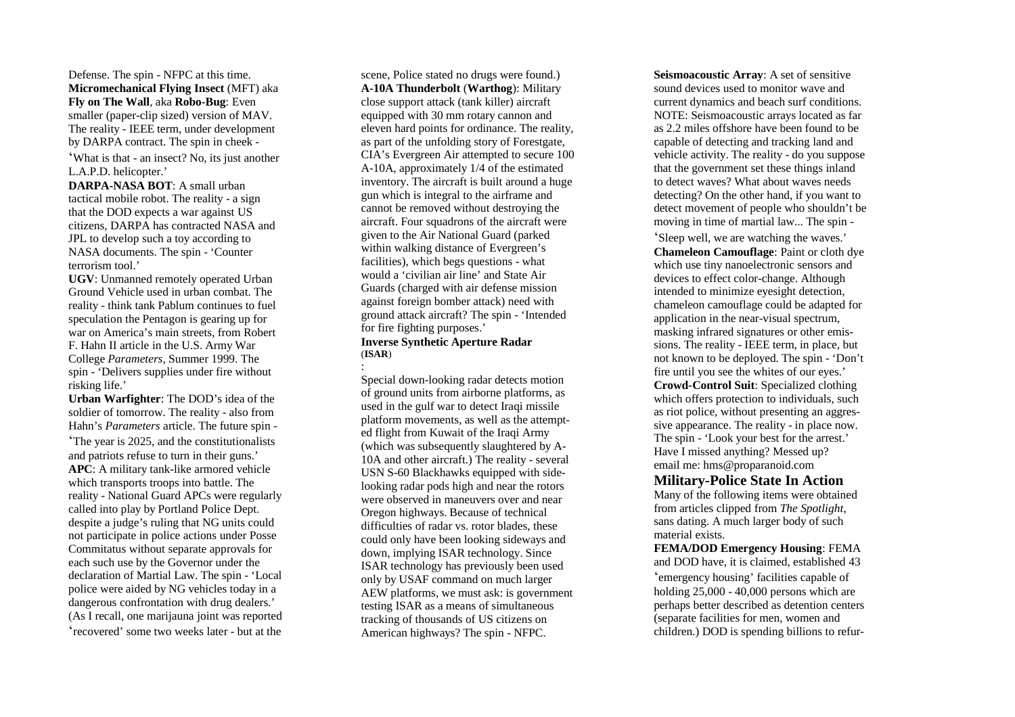Defense. The spin - NFPC at this time. **Micromechanical Flying Insect** (MFT) aka **Fly on The Wall**, aka **Robo-Bug**: Even smaller (paper-clip sized) version of MAV. The reality - IEEE term, under development by DARPA contract. The spin in cheek - 'What is that - an insect? No, its just another

L.A.P.D. helicopter.'

**DARPA-NASA BOT**: A small urban tactical mobile robot. The reality - a sign that the DOD expects a war against US citizens, DARPA has contracted NASA and JPL to develop such a toy according to NASA documents. The spin - 'Counter terrorism tool.'

**UGV**: Unmanned remotely operated Urban Ground Vehicle used in urban combat. The reality - think tank Pablum continues to fuel speculation the Pentagon is gearing up for war on America's main streets, from Robert F. Hahn II article in the U.S. Army War College *Parameters*, Summer 1999. The spin - 'Delivers supplies under fire without risking life.'

**Urban Warfighter**: The DOD's idea of the soldier of tomorrow. The reality - also from Hahn's *Parameters* article. The future spin - 'The year is 2025, and the constitutionalists and patriots refuse to turn in their guns.' **APC**: A military tank-like armored vehicle which transports troops into battle. The reality - National Guard APCs were regularly called into play by Portland Police Dept. despite a judge's ruling that NG units could not participate in police actions under Posse Commitatus without separate approvals for each such use by the Governor under the declaration of Martial Law. The spin - 'Local police were aided by NG vehicles today in a dangerous confrontation with drug dealers.' (As I recall, one marijauna joint was reported 'recovered' some two weeks later - but at the

scene, Police stated no drugs were found.) **A-10A Thunderbolt** (**Warthog**): Military close support attack (tank killer) aircraft equipped with 30 mm rotary cannon and eleven hard points for ordinance. The reality, as part of the unfolding story of Forestgate, CIA's Evergreen Air attempted to secure 100 A-10A, approximately 1/4 of the estimated inventory. The aircraft is built around a huge gun which is integral to the airframe and cannot be removed without destroying the aircraft. Four squadrons of the aircraft were given to the Air National Guard (parked within walking distance of Evergreen's facilities), which begs questions - what would a 'civilian air line' and State Air Guards (charged with air defense mission against foreign bomber attack) need with ground attack aircraft? The spin - 'Intended for fire fighting purposes.'

### **Inverse Synthetic Aperture Radar** (**ISAR**) :

Special down-looking radar detects motion of ground units from airborne platforms, as used in the gulf war to detect Iraqi missile platform movements, as well as the attempted flight from Kuwait of the Iraqi Army (which was subsequently slaughtered by A-10A and other aircraft.) The reality - several USN S-60 Blackhawks equipped with sidelooking radar pods high and near the rotors were observed in maneuvers over and near Oregon highways. Because of technical difficulties of radar vs. rotor blades, these could only have been looking sideways and down, implying ISAR technology. Since ISAR technology has previously been used only by USAF command on much larger AEW platforms, we must ask: is government testing ISAR as a means of simultaneous tracking of thousands of US citizens on American highways? The spin - NFPC.

**Seismoacoustic Array**: A set of sensitive sound devices used to monitor wave and current dynamics and beach surf conditions. NOTE: Seismoacoustic arrays located as far as 2.2 miles offshore have been found to be capable of detecting and tracking land and vehicle activity. The reality - do you suppose that the government set these things inland to detect waves? What about waves needs detecting? On the other hand, if you want to detect movement of people who shouldn't be moving in time of martial law... The spin - 'Sleep well, we are watching the waves.'

**Chameleon Camouflage**: Paint or cloth dye which use tiny nanoelectronic sensors and devices to effect color-change. Although intended to minimize eyesight detection, chameleon camouflage could be adapted for application in the near-visual spectrum, masking infrared signatures or other emissions. The reality - IEEE term, in place, but not known to be deployed. The spin - 'Don't fire until you see the whites of our eyes.' **Crowd-Control Suit**: Specialized clothing which offers protection to individuals, such as riot police, without presenting an aggressive appearance. The reality - in place now. The spin - 'Look your best for the arrest.' Have I missed anything? Messed up? email me: hms@proparanoid.com

### **Military-Police State In Action**

Many of the following items were obtained from articles clipped from *The Spotlight*, sans dating. A much larger body of such material exists.

**FEMA/DOD Emergency Housing**: FEMA and DOD have, it is claimed, established 43 'emergency housing' facilities capable of holding 25,000 - 40,000 persons which are perhaps better described as detention centers (separate facilities for men, women and children.) DOD is spending billions to refur-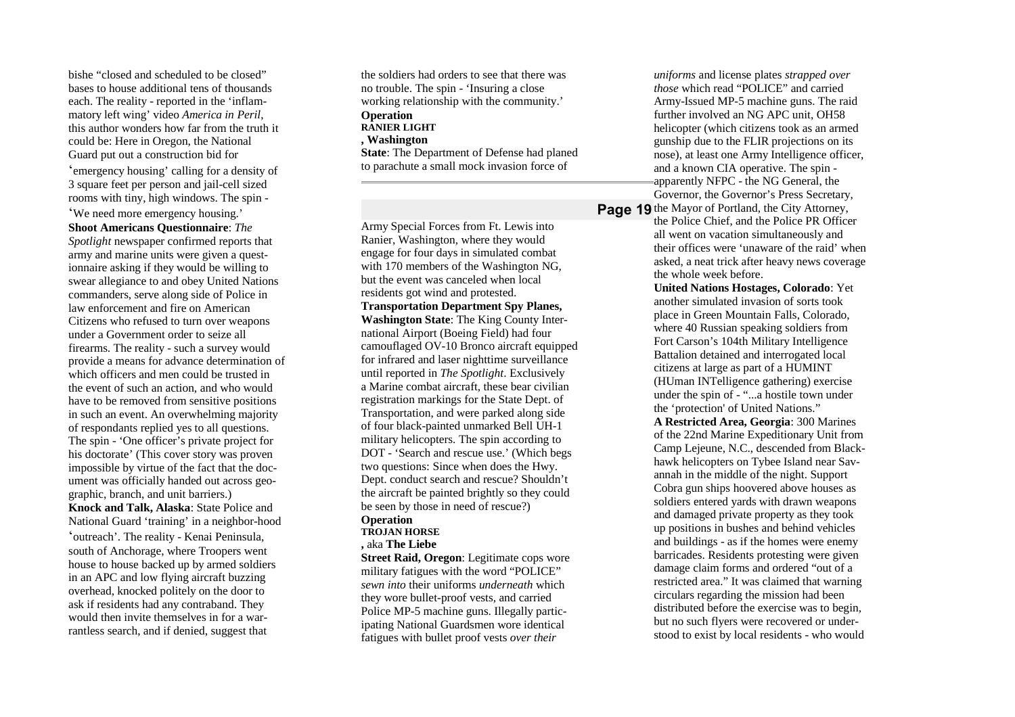bishe "closed and scheduled to be closed" bases to house additional tens of thousands each. The reality - reported in the 'inflammatory left wing' video *America in Peril*, this author wonders how far from the truth it could be: Here in Oregon, the National Guard put out a construction bid for 'emergency housing' calling for a density of 3 square feet per person and jail-cell sized rooms with tiny, high windows. The spin - 'We need more emergency housing.' **Shoot Americans Questionnaire**: *The*

*Spotlight* newspaper confirmed reports that army and marine units were given a questionnaire asking if they would be willing to swear allegiance to and obey United Nations commanders, serve along side of Police in law enforcement and fire on American Citizens who refused to turn over weapons under a Government order to seize all firearms. The reality - such a survey would provide a means for advance determination of which officers and men could be trusted in the event of such an action, and who would have to be removed from sensitive positions in such an event. An overwhelming majority of respondants replied yes to all questions. The spin - 'One officer's private project for his doctorate' (This cover story was proven impossible by virtue of the fact that the document was officially handed out across geographic, branch, and unit barriers.) **Knock and Talk, Alaska**: State Police and National Guard 'training' in a neighbor-hood 'outreach'. The reality - Kenai Peninsula, south of Anchorage, where Troopers went house to house backed up by armed soldiers in an APC and low flying aircraft buzzing overhead, knocked politely on the door to ask if residents had any contraband. They would then invite themselves in for a warrantless search, and if denied, suggest that

the soldiers had orders to see that there was no trouble. The spin - 'Insuring a close working relationship with the community.' **Operation RANIER LIGHT , Washington State**: The Department of Defense had planed to parachute a small mock invasion force of

Army Special Forces from Ft. Lewis into Ranier, Washington, where they would engage for four days in simulated combat with 170 members of the Washington NG, but the event was canceled when local residents got wind and protested. **Transportation Department Spy Planes, Washington State**: The King County International Airport (Boeing Field) had four camouflaged OV-10 Bronco aircraft equipped for infrared and laser nighttime surveillance until reported in *The Spotlight*. Exclusively a Marine combat aircraft, these bear civilian registration markings for the State Dept. of Transportation, and were parked along side of four black-painted unmarked Bell UH-1 military helicopters. The spin according to DOT - 'Search and rescue use.' (Which begs two questions: Since when does the Hwy. Dept. conduct search and rescue? Shouldn't the aircraft be painted brightly so they could be seen by those in need of rescue?) **Operation**

### **TROJAN HORSE**

**,** aka **The Liebe**

**Street Raid, Oregon**: Legitimate cops wore military fatigues with the word "POLICE" *sewn into* their uniforms *underneath* which they wore bullet-proof vests, and carried Police MP-5 machine guns. Illegally participating National Guardsmen wore identical fatigues with bullet proof vests *over their*

*uniforms* and license plates *strapped over those* which read "POLICE" and carried Army-Issued MP-5 machine guns. The raid further involved an NG APC unit, OH58 helicopter (which citizens took as an armed gunship due to the FLIR projections on its nose), at least one Army Intelligence officer, and a known CIA operative. The spin apparently NFPC - the NG General, the Governor, the Governor's Press Secretary,

Page 19 the Mayor of Portland, the City Attorney, the Police Chief, and the Police PR Officer all went on vacation simultaneously and their offices were 'unaware of the raid' when asked, a neat trick after heavy news coverage the whole week before.

**United Nations Hostages, Colorado**: Yet another simulated invasion of sorts took place in Green Mountain Falls, Colorado, where 40 Russian speaking soldiers from Fort Carson's 104th Military Intelligence Battalion detained and interrogated local citizens at large as part of a HUMINT (HUman INTelligence gathering) exercise under the spin of - "...a hostile town under the 'protection' of United Nations." **A Restricted Area, Georgia**: 300 Marines of the 22nd Marine Expeditionary Unit from Camp Lejeune, N.C., descended from Blackhawk helicopters on Tybee Island near Savannah in the middle of the night. Support Cobra gun ships hoovered above houses as soldiers entered yards with drawn weapons and damaged private property as they took up positions in bushes and behind vehicles and buildings - as if the homes were enemy barricades. Residents protesting were given damage claim forms and ordered "out of a restricted area." It was claimed that warning

circulars regarding the mission had been distributed before the exercise was to begin, but no such flyers were recovered or understood to exist by local residents - who would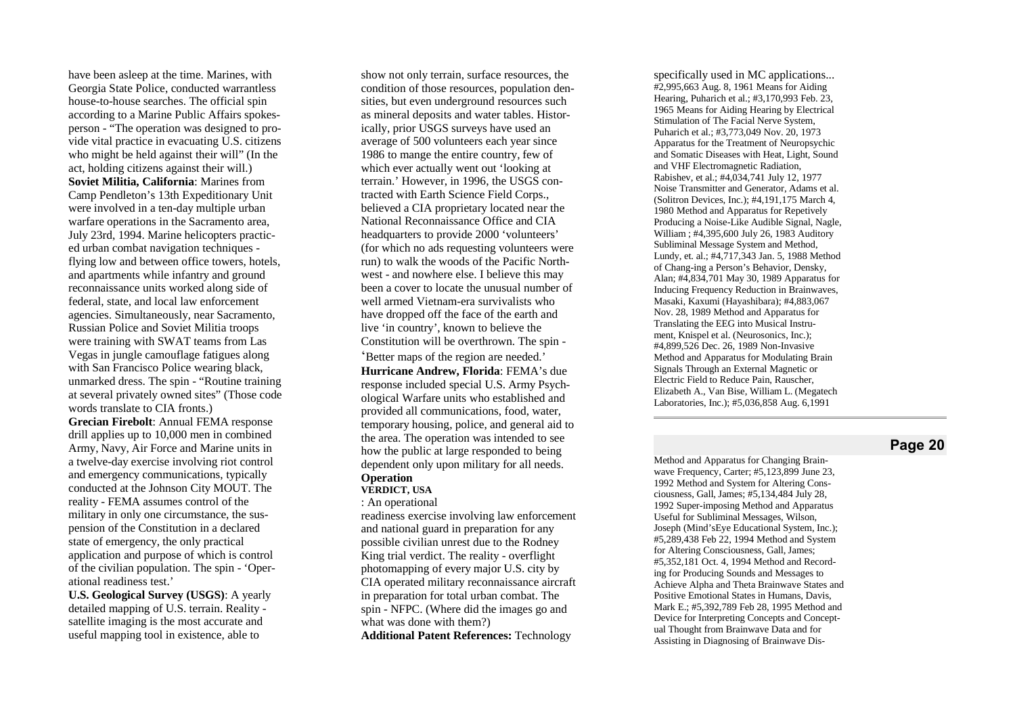have been asleep at the time. Marines, with Georgia State Police, conducted warrantless house-to-house searches. The official spin according to a Marine Public Affairs spokesperson - "The operation was designed to provide vital practice in evacuating U.S. citizens who might be held against their will" (In the act, holding citizens against their will.) Soviet Militia, California: Marines from Camp Pendleton's 13th Expeditionary Unit were involved in a ten-day multiple urban warfare operations in the Sacramento area, July 23rd, 1994. Marine helicopters practiced urban combat navigation techniques flying low and between office towers, hotels, and apartments while infantry and ground reconnaissance units worked along side of federal, state, and local law enforcement agencies. Simultaneously, near Sacramento, Russian Police and Soviet Militia troops were training with SWAT teams from Las Vegas in jungle camouflage fatigues along with San Francisco Police wearing black, unmarked dress. The spin - "Routine training at several privately owned sites" (Those code words translate to CIA fronts.)

**Grecian Firebolt:** Annual FEMA response drill applies up to 10,000 men in combined Army, Navy, Air Force and Marine units in a twelve-day exercise involving riot control and emergency communications, typically conducted at the Johnson City MOUT. The reality - FEMA assumes control of the military in only one circumstance, the suspension of the Constitution in a declared state of emergency, the only practical application and purpose of which is control of the civilian population. The spin - 'Operational readiness test.'

U.S. Geological Survey (USGS): A yearly detailed mapping of U.S. terrain. Reality satellite imaging is the most accurate and useful mapping tool in existence, able to

show not only terrain, surface resources, the condition of those resources, population densities, but even underground resources such as mineral deposits and water tables. Historically, prior USGS surveys have used an average of 500 volunteers each year since 1986 to mange the entire country, few of which ever actually went out 'looking at terrain.' However, in 1996, the USGS contracted with Earth Science Field Corps., believed a CIA proprietary located near the National Reconnaissance Office and CIA headquarters to provide 2000 'volunteers' (for which no ads requesting volunteers were run) to walk the woods of the Pacific Northwest - and nowhere else. I believe this may been a cover to locate the unusual number of well armed Vietnam-era survivalists who have dropped off the face of the earth and live 'in country', known to believe the Constitution will be overthrown. The spin -

'Better maps of the region are needed.' Hurricane Andrew, Florida: FEMA's due response included special U.S. Army Psychological Warfare units who established and provided all communications, food, water, temporary housing, police, and general aid to the area. The operation was intended to see how the public at large responded to being dependent only upon military for all needs. **Operation** 

## **V E R D I C T , U S A**

: An operational

readiness exercise involving law enforcement and national guard in preparation for any possible civilian unrest due to the Rodney King trial verdict. The reality - overflight photomapping of every major U.S. city by CIA operated military reconnaissance aircraft in preparation for total urban combat. The spin - NFPC. (Where did the images go and what was done with them?) **Additional Patent References: Technology** 

specifically used in MC applications... #2,995,663 Aug. 8, 1961 Means for Aiding Hearing, Puharich et al.; #3,170,993 Feb. 23, 1965 Means for Aiding Hearing by Electrical Stimulation of The Facial Nerve System, Puharich et al.; #3,773,049 Nov. 20, 1973 Apparatus for the Treatment of Neuropsychic and Somatic Diseases with Heat, Light, Sound and VHF Electromagnetic Radiation, Rabishev, et al.; #4,034,741 July 12, 1977 Noise Transmitter and Generator, Adams et al. (Solitron Devices, Inc.); #4,191,175 March 4, 1980 Method and Apparatus for Repetively Producing a Noise-Like Audible Signal, Nagle, William ; #4,395,600 July 26, 1983 Auditory Subliminal Message System and Method, Lundy, et. al.; #4,717,343 Jan. 5, 1988 Method of Chang-ing a Person's Behavior, Densky, Alan; #4,834,701 May 30, 1989 Apparatus for Inducing Frequency Reduction in Brainwaves, Masaki, Kaxumi (Hayashibara); #4,883,067 Nov. 28, 1989 Method and Apparatus for Translating the EEG into Musical Instrument, Knispel et al. (Neurosonics, Inc.); #4,899,526 Dec. 26, 1989 Non-Invasive Method and Apparatus for Modulating Brain Signals Through an External Magnetic or Electric Field to Reduce Pain, Rauscher, Elizabeth A., Van Bise, William L. (Megatech Laboratories, Inc.); #5,036,858 Aug. 6,1991

## **Page 20**

Method and Apparatus for Changing Brainwave Frequency, Carter; #5,123,899 June 23, 1992 Method and System for Altering Consciousness, Gall, James; #5,134,484 July 28, 1992 Super-imposing Method and Apparatus Useful for Subliminal Messages, Wilson, Joseph (Mind'sEye Educational System, Inc.); #5,289, 4 3 8 F e b 22, 199 4 M e thod and Sys t e m for Altering Consciousness, Gall, James; #5,352,181 Oct. 4, 1994 Method and Recording for Producing Sounds and Messages to Achieve Alpha and Theta Brainwave States and Positive Emotional States in Humans, Davis, Mark E.; #5,392,789 Feb 28, 1995 Method and Device for Interpreting Concepts and Concept ual Thought from Brainwave Data and for Assisting in Diagnosing of Brainwave Dis-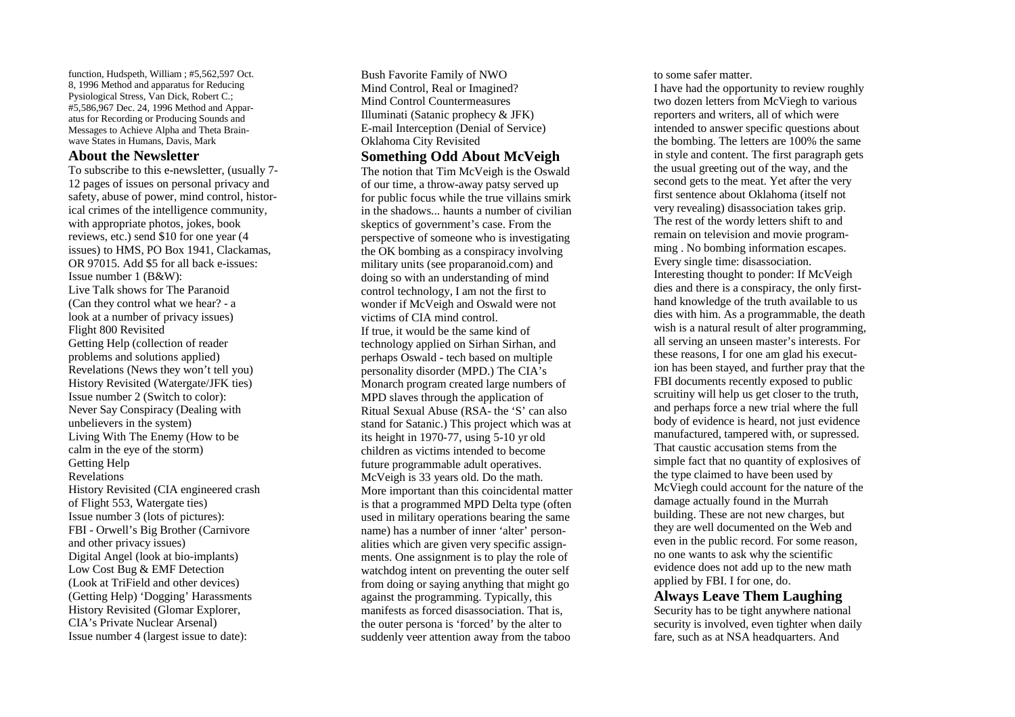function, Hudspeth, William; #5,562,597 Oct. 8, 1996 Method and apparatus for Reducing Pysiological Stress, Van Dick, Robert C.; #5,586,967 Dec. 24, 1996 Method and Apparatus for Recording or Producing Sounds and Messages to Achieve Alpha and Theta Brainwave States in Humans, Davis, Mark

### **About the Newsletter**

To subscribe to this e-newsletter, (usually 7-12 pages of issues on personal privacy and safety, abuse of power, mind control, historical crimes of the intelligence community, with appropriate photos, jokes, book reviews, etc.) send \$10 for one year (4 issues) to HMS, PO Box 1941, Clackamas, OR 97015. Add \$5 for all back e-issues: Issue number 1 (B&W): Live Talk shows for The Paranoid (Can they control what we hear? - a look at a number of privacy issues) Flight 800 Revisited Getting Help (collection of reader problems and solutions applied) Revelations (News they won't tell you) History Revisited (Watergate/JFK ties) Issue number 2 (Switch to color): Never Say Conspiracy (Dealing with unbelievers in the system) Living With The Enemy (How to be calm in the eye of the storm) Getting Help Revelations History Revisited (CIA engineered crash of Flight 553, Watergate ties) Issue number 3 (lots of pictures): FBI - Orwell's Big Brother (Carnivore and other privacy issues) Digital Angel (look at bio-implants) Low Cost Bug & EMF Detection (Look at TriField and other devices) (Getting Help) 'Dogging' Harassments History Revisited (Glomar Explorer, CIA's Private Nuclear Arsenal) Issue number 4 (largest issue to date):

Bush Favorite Family of NWO Mind Control, Real or Imagined? Mind Control Countermeasures Illuminati (Satanic prophecy & JFK) E-mail Interception (Denial of Service) Oklahoma City Revisited

## **Something Odd About McVeigh**

The notion that Tim McVeigh is the Oswald of our time, a throw-away patsy served up for public focus while the true villains smirk in the shadows... haunts a number of civilian skeptics of government's case. From the perspective of someone who is investigating the OK bombing as a conspiracy involving military units (see proparanoid.com) and doing so with an understanding of mind control technology, I am not the first to wonder if McVeigh and Oswald were not victims of CIA mind control. If true, it would be the same kind of technology applied on Sirhan Sirhan, and perhaps Oswald - tech based on multiple personality disorder (MPD.) The CIA's Monarch program created large numbers of MPD slaves through the application of Ritual Sexual Abuse (RSA- the 'S' can also stand for Satanic.) This project which was at its height in 1970-77, using 5-10 yr old children as victims intended to become future programmable adult operatives. McVeigh is 33 years old. Do the math. More important than this coincidental matter is that a programmed MPD Delta type (often used in military operations bearing the same name) has a number of inner 'alter' personalities which are given very specific assignments. One assignment is to play the role of watchdog intent on preventing the outer self from doing or saying anything that might go against the programming. Typically, this manifests as forced disassociation. That is, the outer persona is 'forced' by the alter to suddenly veer attention away from the taboo

to some safer matter.

I have had the opportunity to review roughly two dozen letters from McViegh to various reporters and writers, all of which were intended to answer specific questions about the bombing. The letters are 100% the same in style and content. The first paragraph gets the usual greeting out of the way, and the second gets to the meat. Yet after the very first sentence about Oklahoma (itself not very revealing) disassociation takes grip. The rest of the wordy letters shift to and remain on television and movie programming . No bombing information escapes. Every single time: disassociation. Interesting thought to ponder: If McVeigh dies and there is a conspiracy, the only firsthand knowledge of the truth available to us dies with him. As a programmable, the death wish is a natural result of alter programming, all serving an unseen master's interests. For these reasons, I for one am glad his execution has been stayed, and further pray that the FBI documents recently exposed to public scruitiny will help us get closer to the truth, and perhaps force a new trial where the full body of evidence is heard, not just evidence manufactured, tampered with, or supressed. That caustic accusation stems from the simple fact that no quantity of explosives of the type claimed to have been used by McViegh could account for the nature of the damage actually found in the Murrah building. These are not new charges, but they are well documented on the Web and even in the public record. For some reason, no one wants to ask why the scientific evidence does not add up to the new math applied by FBI. I for one, do.

Always Leave Them Laughing Security has to be tight anywhere national security is involved, even tighter when daily fare, such as at NSA headquarters. And